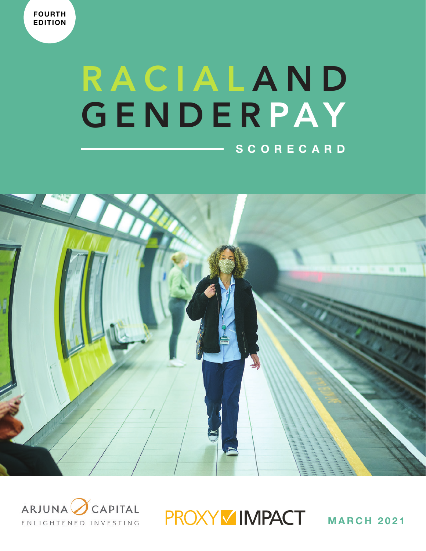# RACIALAND GENDERPAY **SCORECARD**





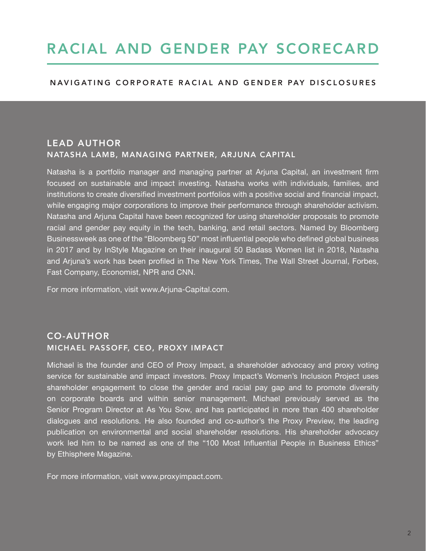## RACIAL AND GENDER PAY SCORECARD

### NAVIGATING CORPORATE RACIAL AND GENDER PAY DISCLOSURES

### LEAD AUTHOR NATASHA LAMB, MANAGING PARTNER, ARJUNA CAPITAL

Natasha is a portfolio manager and managing partner at Arjuna Capital, an investment firm focused on sustainable and impact investing. Natasha works with individuals, families, and institutions to create diversified investment portfolios with a positive social and financial impact, while engaging major corporations to improve their performance through shareholder activism. Natasha and Arjuna Capital have been recognized for using shareholder proposals to promote racial and gender pay equity in the tech, banking, and retail sectors. Named by Bloomberg Businessweek as one of the "Bloomberg 50" most influential people who defined global business in 2017 and by InStyle Magazine on their inaugural 50 Badass Women list in 2018, Natasha and Arjuna's work has been profiled in The New York Times, The Wall Street Journal, Forbes, Fast Company, Economist, NPR and CNN.

For more information, visit www.Arjuna-Capital.com.

### CO-AUTHOR MICHAEL PASSOFF, CEO, PROXY IMPACT

Michael is the founder and CEO of Proxy Impact, a shareholder advocacy and proxy voting service for sustainable and impact investors. Proxy Impact's Women's Inclusion Project uses shareholder engagement to close the gender and racial pay gap and to promote diversity on corporate boards and within senior management. Michael previously served as the Senior Program Director at As You Sow, and has participated in more than 400 shareholder dialogues and resolutions. He also founded and co-author's the Proxy Preview, the leading publication on environmental and social shareholder resolutions. His shareholder advocacy work led him to be named as one of the "100 Most Influential People in Business Ethics" by Ethisphere Magazine.

For more information, visit www.proxyimpact.com.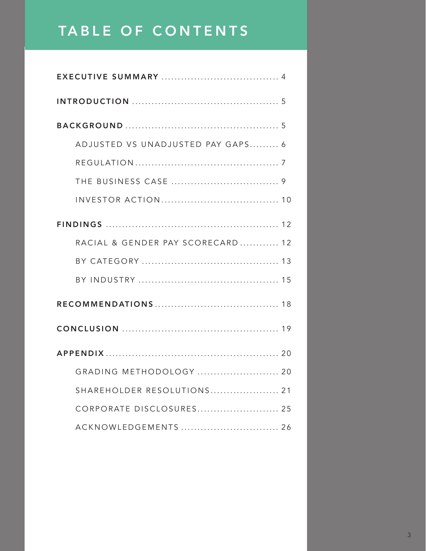### TABLE OF CONTENTS

| ADJUSTED VS UNADJUSTED PAY GAPS 6 |
|-----------------------------------|
|                                   |
|                                   |
|                                   |
|                                   |
| RACIAL & GENDER PAY SCORECARD 12  |
|                                   |
|                                   |
|                                   |
|                                   |
|                                   |
| GRADING METHODOLOGY  20           |
| SHAREHOLDER RESOLUTIONS 21        |
| CORPORATE DISCLOSURES 25          |
| ACKNOWLEDGEMENTS  26              |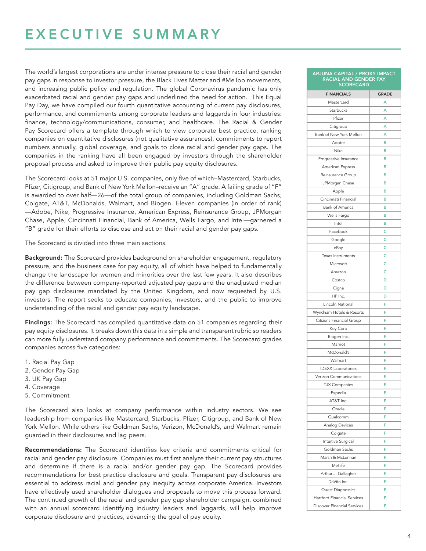### EXECUTIVE SUMMARY

The world's largest corporations are under intense pressure to close their racial and gender pay gaps in response to investor pressure, the Black Lives Matter and #MeToo movements, and increasing public policy and regulation. The global Coronavirus pandemic has only exacerbated racial and gender pay gaps and underlined the need for action. This Equal Pay Day, we have compiled our fourth quantitative accounting of current pay disclosures, performance, and commitments among corporate leaders and laggards in four industries: finance, technology/communications, consumer, and healthcare. The Racial & Gender Pay Scorecard offers a template through which to view corporate best practice, ranking companies on quantitative disclosures (not qualitative assurances), commitments to report numbers annually, global coverage, and goals to close racial and gender pay gaps. The companies in the ranking have all been engaged by investors through the shareholder proposal process and asked to improve their public pay equity disclosures.

The Scorecard looks at 51 major U.S. companies, only five of which–Mastercard, Starbucks, Pfizer, Citigroup, and Bank of New York Mellon–receive an "A" grade. A failing grade of "F" is awarded to over half—26—of the total group of companies, including Goldman Sachs, Colgate, AT&T, McDonalds, Walmart, and Biogen. Eleven companies (in order of rank) —Adobe, Nike, Progressive Insurance, American Express, Reinsurance Group, JPMorgan Chase, Apple, Cincinnati Financial, Bank of America, Wells Fargo, and Intel—garnered a "B" grade for their efforts to disclose and act on their racial and gender pay gaps.

The Scorecard is divided into three main sections.

Background: The Scorecard provides background on shareholder engagement, regulatory pressure, and the business case for pay equity, all of which have helped to fundamentally change the landscape for women and minorities over the last few years. It also describes the difference between company-reported adjusted pay gaps and the unadjusted median pay gap disclosures mandated by the United Kingdom, and now requested by U.S. investors. The report seeks to educate companies, investors, and the public to improve understanding of the racial and gender pay equity landscape.

Findings: The Scorecard has compiled quantitative data on 51 companies regarding their pay equity disclosures. It breaks down this data in a simple and transparent rubric so readers can more fully understand company performance and commitments. The Scorecard grades companies across five categories:

- 1. Racial Pay Gap
- 2. Gender Pay Gap
- 3. UK Pay Gap
- 4. Coverage
- 5. Commitment

The Scorecard also looks at company performance within industry sectors. We see leadership from companies like Mastercard, Starbucks, Pfizer, Citigroup, and Bank of New York Mellon. While others like Goldman Sachs, Verizon, McDonald's, and Walmart remain guarded in their disclosures and lag peers.

Recommendations: The Scorecard identifies key criteria and commitments critical for racial and gender pay disclosure. Companies must first analyze their current pay structures and determine if there is a racial and/or gender pay gap. The Scorecard provides recommendations for best practice disclosure and goals. Transparent pay disclosures are essential to address racial and gender pay inequity across corporate America. Investors have effectively used shareholder dialogues and proposals to move this process forward. The continued growth of the racial and gender pay gap shareholder campaign, combined with an annual scorecard identifying industry leaders and laggards, will help improve corporate disclosure and practices, advancing the goal of pay equity.

| ARJUNA CAPITAL / PROXY IMPACT<br>RACIAL AND GENDER PAY<br><b>SCORECARD</b> |              |
|----------------------------------------------------------------------------|--------------|
| <b>FINANCIALS</b>                                                          | <b>GRADE</b> |
| Mastercard                                                                 | A            |
| Starbucks                                                                  | A            |
| Pfizer                                                                     | A            |
| Citigroup                                                                  | A            |
| Bank of New York Mellon                                                    | A            |
| Adobe                                                                      | в            |
| Nike                                                                       | в            |
| Progressive Insurance                                                      | в            |
| American Express                                                           | в            |
| Reinsurance Group                                                          | в            |
| JPMorgan Chase                                                             | в            |
| Apple                                                                      | в            |
| Cincinnati Financial                                                       | в            |
| <b>Bank of America</b>                                                     | в            |
| Wells Fargo                                                                | B            |
| Intel                                                                      | в            |
| Facebook                                                                   | Ċ            |
| Google                                                                     | Ċ            |
|                                                                            | Ċ            |
| eBay                                                                       | Ċ            |
| Texas Instruments                                                          | Ċ            |
| Microsoft                                                                  |              |
| Amazon                                                                     | Ċ            |
| Costco                                                                     | D            |
| Cigna                                                                      | D            |
| HP Inc.                                                                    | D            |
| Lincoln National                                                           | F            |
| Wyndham Hotels & Resorts                                                   | F            |
| Citizens Financial Group                                                   | F            |
| Key Corp                                                                   | F            |
| Biogen Inc.                                                                | F            |
| Marriot                                                                    | F            |
| McDonald's                                                                 | F            |
| Walmart                                                                    | F            |
| <b>IDEXX Laboratories</b>                                                  | F            |
| Verizon Communications                                                     | F            |
| TJX Companies                                                              |              |
| Expedia                                                                    | F            |
| AT&T Inc.                                                                  | F            |
| Oracle                                                                     | F            |
| Qualcomm                                                                   | F            |
| Analog Devices                                                             | F            |
| Colgate                                                                    | F            |
| Intuitive Surgical                                                         | F            |
| Goldman Sachs                                                              | F            |
| Marsh & McLennan                                                           | F            |
| Metlife                                                                    | F            |
| Arthur J. Gallagher                                                        | F            |
| DaVita Inc.                                                                | F            |
| Quest Diagnostics                                                          | F            |
| Hartford Financial Services                                                | F            |
| <b>Discover Financial Services</b>                                         | F            |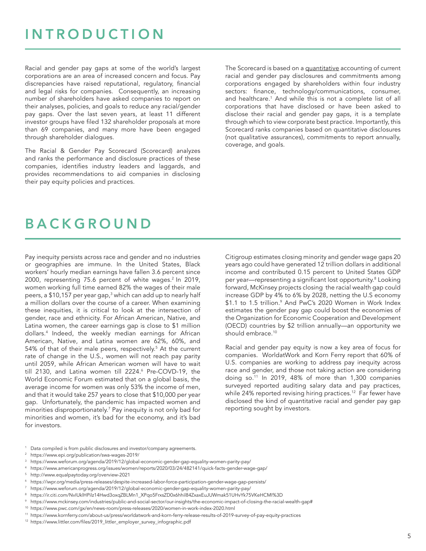### **INTRODUCTION**

Racial and gender pay gaps at some of the world's largest corporations are an area of increased concern and focus. Pay discrepancies have raised reputational, regulatory, financial and legal risks for companies. Consequently, an increasing number of shareholders have asked companies to report on their analyses, policies, and goals to reduce any racial/gender pay gaps. Over the last seven years, at least 11 different investor groups have filed 132 shareholder proposals at more than 69 companies, and many more have been engaged through shareholder dialogues.

The Racial & Gender Pay Scorecard (Scorecard) analyzes and ranks the performance and disclosure practices of these companies, identifies industry leaders and laggards, and provides recommendations to aid companies in disclosing their pay equity policies and practices.

The Scorecard is based on a quantitative accounting of current racial and gender pay disclosures and commitments among corporations engaged by shareholders within four industry sectors: finance, technology/communications, consumer, and healthcare.<sup>1</sup> And while this is not a complete list of all corporations that have disclosed or have been asked to disclose their racial and gender pay gaps, it is a template through which to view corporate best practice. Importantly, this Scorecard ranks companies based on quantitative disclosures (not qualitative assurances), commitments to report annually, coverage, and goals.

### BACKGROUND

Pay inequity persists across race and gender and no industries or geographies are immune. In the United States, Black workers' hourly median earnings have fallen 3.6 percent since 2000, representing 75.6 percent of white wages.<sup>2</sup> In 2019, women working full time earned 82% the wages of their male peers, a \$10,157 per year gap,<sup>3</sup> which can add up to nearly half a million dollars over the course of a career. When examining these inequities, it is critical to look at the intersection of gender, race and ethnicity. For African American, Native, and Latina women, the career earnings gap is close to \$1 million dollars.4 Indeed, the weekly median earnings for African American, Native, and Latina women are 62%, 60%, and 54% of that of their male peers, respectively.<sup>5</sup> At the current rate of change in the U.S., women will not reach pay parity until 2059, while African American women will have to wait till 2130, and Latina women till 2224.6 Pre-COVD-19, the World Economic Forum estimated that on a global basis, the average income for women was only 53% the income of men, and that it would take 257 years to close that \$10,000 per year gap. Unfortunately, the pandemic has impacted women and minorities disproportionately.7 Pay inequity is not only bad for minorities and women, it's bad for the economy, and it's bad for investors.

Citigroup estimates closing minority and gender wage gaps 20 years ago could have generated 12 trillion dollars in additional income and contributed 0.15 percent to United States GDP per year—representing a significant lost opportunity.<sup>8</sup> Looking forward, McKinsey projects closing the racial wealth gap could increase GDP by 4% to 6% by 2028, netting the U.S economy \$1.1 to 1.5 trillion.<sup>9</sup> And PwC's 2020 Women in Work Index estimates the gender pay gap could boost the economies of the Organization for Economic Cooperation and Development (OECD) countries by \$2 trillion annually—an opportunity we should embrace.<sup>10</sup>

Racial and gender pay equity is now a key area of focus for companies. WorldatWork and Korn Ferry report that 60% of U.S. companies are working to address pay inequity across race and gender, and those not taking action are considering doing so.11 In 2019, 48% of more than 1,300 companies surveyed reported auditing salary data and pay practices, while 24% reported revising hiring practices.<sup>12</sup> Far fewer have disclosed the kind of quantitative racial and gender pay gap reporting sought by investors.

- Data compiled is from public disclosures and investor/company agreements.
- <sup>2</sup> https://www.epi.org/publication/swa-wages-2019/
- <sup>3</sup> https://www.weforum.org/agenda/2019/12/global-economic-gender-gap-equality-women-parity-pay/
- <sup>4</sup> https://www.americanprogress.org/issues/women/reports/2020/03/24/482141/quick-facts-gender-wage-gap/
- <sup>5</sup> http://www.equalpaytoday.org/overview-2021
- <sup>6</sup> https://iwpr.org/media/press-releases/despite-increased-labor-force-participation-gender-wage-gap-persists/
- <sup>7</sup> https://www.weforum.org/agenda/2019/12/global-economic-gender-gap-equality-women-parity-pay/
- <sup>8</sup> https://ir.citi.com/NvIUklHPilz14Hwd3oxqZBLMn1\_XPqo5FrxsZD0x6hhil84ZxaxEuJUWmak51UHvYk75VKeHCMI%3D
- <sup>9</sup> https://www.mckinsey.com/industries/public-and-social-sector/our-insights/the-economic-impact-of-closing-the-racial-wealth-gap#
- <sup>10</sup> https://www.pwc.com/gx/en/news-room/press-releases/2020/women-in-work-index-2020.html
- <sup>11</sup> https://www.kornferry.com/about-us/press/worldatwork-and-korn-ferry-release-results-of-2019-survey-of-pay-equity-practices
- <sup>12</sup> https://www.littler.com/files/2019\_littler\_employer\_survey\_infographic.pdf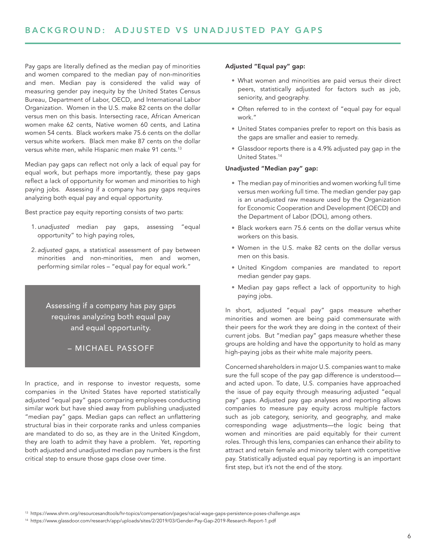Pay gaps are literally defined as the median pay of minorities and women compared to the median pay of non-minorities and men. Median pay is considered the valid way of measuring gender pay inequity by the United States Census Bureau, Department of Labor, OECD, and International Labor Organization. Women in the U.S. make 82 cents on the dollar versus men on this basis. Intersecting race, African American women make 62 cents, Native women 60 cents, and Latina women 54 cents. Black workers make 75.6 cents on the dollar versus white workers. Black men make 87 cents on the dollar versus white men, while Hispanic men make 91 cents.<sup>13</sup>

Median pay gaps can reflect not only a lack of equal pay for equal work, but perhaps more importantly, these pay gaps reflect a lack of opportunity for women and minorities to high paying jobs. Assessing if a company has pay gaps requires analyzing both equal pay and equal opportunity.

Best practice pay equity reporting consists of two parts:

- 1. *unadjusted* median pay gaps, assessing "equal opportunity" to high paying roles,
- 2. *adjusted gaps*, a statistical assessment of pay between minorities and non-minorities, men and women, performing similar roles – "equal pay for equal work."

Assessing if a company has pay gaps requires analyzing both equal pay and equal opportunity.

### – MICHAEL PASSOFF

In practice, and in response to investor requests, some companies in the United States have reported statistically adjusted "equal pay" gaps comparing employees conducting similar work but have shied away from publishing unadjusted "median pay" gaps. Median gaps can reflect an unflattering structural bias in their corporate ranks and unless companies are mandated to do so, as they are in the United Kingdom, they are loath to admit they have a problem. Yet, reporting both adjusted and unadjusted median pay numbers is the first critical step to ensure those gaps close over time.

### Adjusted "Equal pay" gap:

- What women and minorities are paid versus their direct peers, statistically adjusted for factors such as job, seniority, and geography.
- Often referred to in the context of "equal pay for equal work."
- United States companies prefer to report on this basis as the gaps are smaller and easier to remedy.
- Glassdoor reports there is a 4.9% adjusted pay gap in the United States.<sup>14</sup>

### Unadjusted "Median pay" gap:

- The median pay of minorities and women working full time versus men working full time. The median gender pay gap is an unadjusted raw measure used by the Organization for Economic Cooperation and Development (OECD) and the Department of Labor (DOL), among others.
- Black workers earn 75.6 cents on the dollar versus white workers on this basis.
- Women in the U.S. make 82 cents on the dollar versus men on this basis.
- United Kingdom companies are mandated to report median gender pay gaps.
- Median pay gaps reflect a lack of opportunity to high paying jobs.

In short, adjusted "equal pay" gaps measure whether minorities and women are being paid commensurate with their peers for the work they are doing in the context of their current jobs. But "median pay" gaps measure whether these groups are holding and have the opportunity to hold as many high-paying jobs as their white male majority peers.

Concerned shareholders in major U.S. companies want to make sure the full scope of the pay gap difference is understood and acted upon. To date, U.S. companies have approached the issue of pay equity through measuring adjusted "equal pay" gaps. Adjusted pay gap analyses and reporting allows companies to measure pay equity across multiple factors such as job category, seniority, and geography, and make corresponding wage adjustments—the logic being that women and minorities are paid equitably for their current roles. Through this lens, companies can enhance their ability to attract and retain female and minority talent with competitive pay. Statistically adjusted equal pay reporting is an important first step, but it's not the end of the story.

<sup>13</sup> https://www.shrm.org/resourcesandtools/hr-topics/compensation/pages/racial-wage-gaps-persistence-poses-challenge.aspx

<sup>14</sup> https://www.glassdoor.com/research/app/uploads/sites/2/2019/03/Gender-Pay-Gap-2019-Research-Report-1.pdf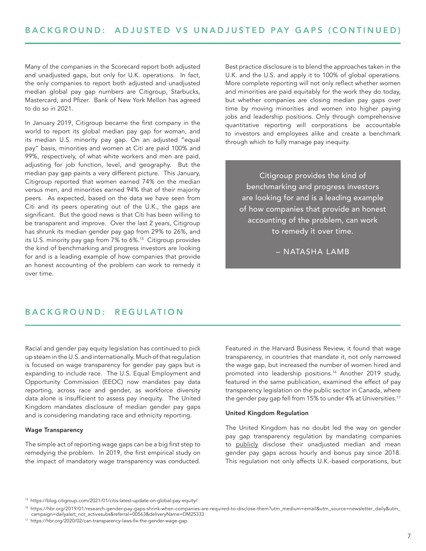Many of the companies in the Scorecard report both adjusted and unadjusted gaps, but only for U.K. operations. In fact, the only companies to report both adjusted and unadjusted median global pay gap numbers are Citigroup, Starbucks, Mastercard, and Pfizer. Bank of New York Mellon has agreed to do so in 2021.

In January 2019, Citigroup became the first company in the world to report its global median pay gap for woman, and its median U.S. minority pay gap. On an adjusted "equal pay" basis, minorities and women at Citi are paid 100% and 99%, respectively, of what white workers and men are paid, adjusting for job function, level, and geography. But the median pay gap paints a very different picture. This January, Citigroup reported that women earned 74% on the median versus men, and minorities earned 94% that of their majority peers. As expected, based on the data we have seen from Citi and its peers operating out of the U.K., the gaps are significant. But the good news is that Citi has been willing to be transparent and improve. Over the last 2 years, Citigroup has shrunk its median gender pay gap from 29% to 26%, and its U.S. minority pay gap from 7% to 6%.<sup>15</sup> Citigroup provides the kind of benchmarking and progress investors are looking for and is a leading example of how companies that provide an honest accounting of the problem can work to remedy it over time.

Best practice disclosure is to blend the approaches taken in the U.K. and the U.S. and apply it to 100% of global operations. More complete reporting will not only reflect whether women and minorities are paid equitably for the work they do today, but whether companies are closing median pay gaps over time by moving minorities and women into higher paying jobs and leadership positions. Only through comprehensive quantitative reporting will corporations be accountable to investors and employees alike and create a benchmark through which to fully manage pay inequity.

Citigroup provides the kind of benchmarking and progress investors are looking for and is a leading example of how companies that provide an honest accounting of the problem, can work to remedy it over time.

– NATASHA LAMB

### BACKGROUND: REGULATION

Racial and gender pay equity legislation has continued to pick up steam in the U.S. and internationally. Much of that regulation is focused on wage transparency for gender pay gaps but is expanding to include race. The U.S. Equal Employment and Opportunity Commission (EEOC) now mandates pay data reporting, across race and gender, as workforce diversity data alone is insufficient to assess pay inequity. The United Kingdom mandates disclosure of median gender pay gaps and is considering mandating race and ethnicity reporting.

### Wage Transparency

The simple act of reporting wage gaps can be a big first step to remedying the problem. In 2019, the first empirical study on the impact of mandatory wage transparency was conducted. Featured in the Harvard Business Review, it found that wage transparency, in countries that mandate it, not only narrowed the wage gap, but increased the number of women hired and promoted into leadership positions.<sup>16</sup> Another 2019 study, featured in the same publication, examined the effect of pay transparency legislation on the public sector in Canada, where the gender pay gap fell from 15% to under 4% at Universities.<sup>17</sup>

### United Kingdom Regulation

The United Kingdom has no doubt led the way on gender pay gap transparency regulation by mandating companies to publicly disclose their unadjusted median and mean gender pay gaps across hourly and bonus pay since 2018. This regulation not only affects U.K.-based corporations, but

<sup>15</sup> https://blog.citigroup.com/2021/01/citis-latest-update-on-global-pay-equity/

<sup>16</sup> https://hbr.org/2019/01/research-gender-pay-gaps-shrink-when-companies-are-required-to-disclose-them?utm\_medium=email&utm\_source=newsletter\_daily&utm\_ campaign=dailyalert\_not\_activesubs&referral=00563&deliveryName=DM25333

<sup>17</sup> https://hbr.org/2020/02/can-transparency-laws-fix-the-gender-wage-gap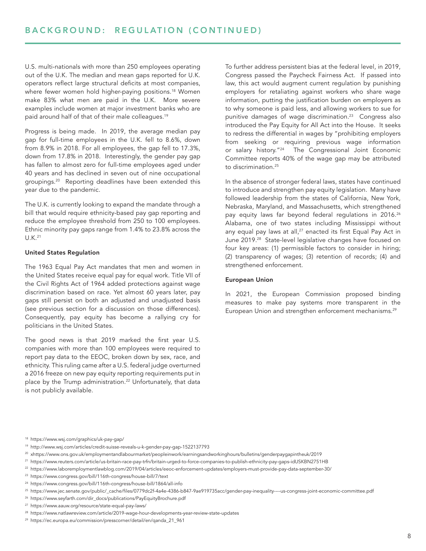U.S. multi-nationals with more than 250 employees operating out of the U.K. The median and mean gaps reported for U.K. operators reflect large structural deficits at most companies, where fewer women hold higher-paying positions.<sup>18</sup> Women make 83% what men are paid in the U.K. More severe examples include women at major investment banks who are paid around half of that of their male colleagues.19

Progress is being made. In 2019, the average median pay gap for full-time employees in the U.K. fell to 8.6%, down from 8.9% in 2018. For all employees, the gap fell to 17.3%, down from 17.8% in 2018. Interestingly, the gender pay gap has fallen to almost zero for full-time employees aged under 40 years and has declined in seven out of nine occupational groupings.20 Reporting deadlines have been extended this year due to the pandemic.

The U.K. is currently looking to expand the mandate through a bill that would require ethnicity-based pay gap reporting and reduce the employee threshold from 250 to 100 employees. Ethnic minority pay gaps range from 1.4% to 23.8% across the U.K.21

### United States Regulation

The 1963 Equal Pay Act mandates that men and women in the United States receive equal pay for equal work. Title VII of the Civil Rights Act of 1964 added protections against wage discrimination based on race. Yet almost 60 years later, pay gaps still persist on both an adjusted and unadjusted basis (see previous section for a discussion on those differences). Consequently, pay equity has become a rallying cry for politicians in the United States.

The good news is that 2019 marked the first year U.S. companies with more than 100 employees were required to report pay data to the EEOC, broken down by sex, race, and ethnicity. This ruling came after a U.S. federal judge overturned a 2016 freeze on new pay equity reporting requirements put in place by the Trump administration.<sup>22</sup> Unfortunately, that data is not publicly available.

To further address persistent bias at the federal level, in 2019, Congress passed the Paycheck Fairness Act. If passed into law, this act would augment current regulation by punishing employers for retaliating against workers who share wage information, putting the justification burden on employers as to why someone is paid less, and allowing workers to sue for punitive damages of wage discrimination.<sup>23</sup> Congress also introduced the Pay Equity for All Act into the House. It seeks to redress the differential in wages by "prohibiting employers from seeking or requiring previous wage information or salary history."24 The Congressional Joint Economic Committee reports 40% of the wage gap may be attributed to discrimination.<sup>25</sup>

In the absence of stronger federal laws, states have continued to introduce and strengthen pay equity legislation. Many have followed leadership from the states of California, New York, Nebraska, Maryland, and Massachusetts, which strengthened pay equity laws far beyond federal regulations in 2016.<sup>26</sup> Alabama, one of two states including Mississippi without any equal pay laws at all,<sup>27</sup> enacted its first Equal Pay Act in June 2019.28 State-level legislative changes have focused on four key areas: (1) permissible factors to consider in hiring; (2) transparency of wages; (3) retention of records; (4) and strengthened enforcement.

### European Union

In 2021, the European Commission proposed binding measures to make pay systems more transparent in the European Union and strengthen enforcement mechanisms.<sup>29</sup>

<sup>18</sup> https://www.wsj.com/graphics/uk-pay-gap/

<sup>19</sup> http://www.wsj.com/articles/credit-suisse-reveals-u-k-gender-pay-gap-1522137793

<sup>20</sup> xhttps://www.ons.gov.uk/employmentandlabourmarket/peopleinwork/earningsandworkinghours/bulletins/genderpaygapintheuk/2019

<sup>21</sup> https://www.reuters.com/article/us-britain-race-pay-trfn/britain-urged-to-force-companies-to-publish-ethnicity-pay-gaps-idUSKBN2751HB

<sup>22</sup> https://www.laboremploymentlawblog.com/2019/04/articles/eeoc-enforcement-updates/employers-must-provide-pay-data-september-30/

<sup>23</sup> https://www.congress.gov/bill/116th-congress/house-bill/7/text

<sup>24</sup> https://www.congress.gov/bill/116th-congress/house-bill/1864/all-info

<sup>25</sup> https://www.jec.senate.gov/public/\_cache/files/0779dc2f-4a4e-4386-b847-9ae919735acc/gender-pay-inequality----us-congress-joint-economic-committee.pdf

<sup>26</sup> https://www.seyfarth.com/dir\_docs/publications/PayEquityBrochure.pdf

<sup>27</sup> https://www.aauw.org/resource/state-equal-pay-laws/

<sup>28</sup> https://www.natlawreview.com/article/2019-wage-hour-developments-year-review-state-updates

<sup>29</sup> https://ec.europa.eu/commission/presscorner/detail/en/qanda\_21\_961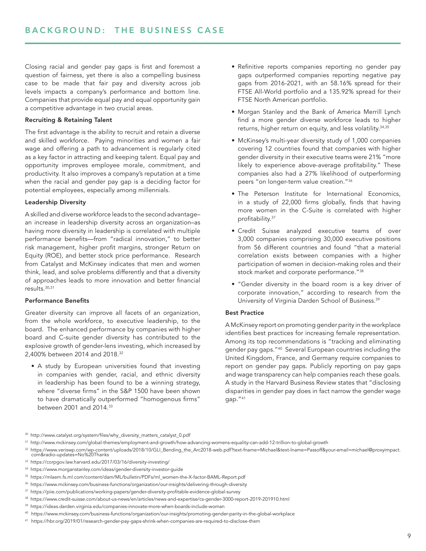Closing racial and gender pay gaps is first and foremost a question of fairness, yet there is also a compelling business case to be made that fair pay and diversity across job levels impacts a company's performance and bottom line. Companies that provide equal pay and equal opportunity gain a competitive advantage in two crucial areas.

### Recruiting & Retaining Talent

The first advantage is the ability to recruit and retain a diverse and skilled workforce. Paying minorities and women a fair wage and offering a path to advancement is regularly cited as a key factor in attracting and keeping talent. Equal pay and opportunity improves employee morale, commitment, and productivity. It also improves a company's reputation at a time when the racial and gender pay gap is a deciding factor for potential employees, especially among millennials.

### Leadership Diversity

A skilled and diverse workforce leads to the second advantage– an increase in leadership diversity across an organization–as having more diversity in leadership is correlated with multiple performance benefits—from "radical innovation," to better risk management, higher profit margins, stronger Return on Equity (ROE), and better stock price performance. Research from Catalyst and McKinsey indicates that men and women think, lead, and solve problems differently and that a diversity of approaches leads to more innovation and better financial results.30,31

### Performance Benefits

Greater diversity can improve all facets of an organization, from the whole workforce, to executive leadership, to the board. The enhanced performance by companies with higher board and C-suite gender diversity has contributed to the explosive growth of gender-lens investing, which increased by 2,400% between 2014 and 2018.32

• A study by European universities found that investing in companies with gender, racial, and ethnic diversity in leadership has been found to be a winning strategy, where "diverse firms" in the S&P 1500 have been shown to have dramatically outperformed "homogenous firms" between 2001 and 2014.33

- Refinitive reports companies reporting no gender pay gaps outperformed companies reporting negative pay gaps from 2016-2021, with an 58.16% spread for their FTSE All-World portfolio and a 135.92% spread for their FTSE North American portfolio.
- Morgan Stanley and the Bank of America Merrill Lynch find a more gender diverse workforce leads to higher returns, higher return on equity, and less volatility.<sup>34,35</sup>
- McKinsey's multi-year diversity study of 1,000 companies covering 12 countries found that companies with higher gender diversity in their executive teams were 21% "more likely to experience above-average profitability." These companies also had a 27% likelihood of outperforming peers "on longer-term value creation."<sup>36</sup>
- The Peterson Institute for International Economics, in a study of 22,000 firms globally, finds that having more women in the C-Suite is correlated with higher profitability.<sup>37</sup>
- Credit Suisse analyzed executive teams of over 3,000 companies comprising 30,000 executive positions from 56 different countries and found "that a material correlation exists between companies with a higher participation of women in decision-making roles and their stock market and corporate performance."<sup>38</sup>
- "Gender diversity in the board room is a key driver of corporate innovation," according to research from the University of Virginia Darden School of Business.<sup>39</sup>

### Best Practice

A McKinsey report on promoting gender parity in the workplace identifies best practices for increasing female representation. Among its top recommendations is "tracking and eliminating gender pay gaps."40 Several European countries including the United Kingdom, France, and Germany require companies to report on gender pay gaps. Publicly reporting on pay gaps and wage transparency can help companies reach these goals. A study in the Harvard Business Review states that "disclosing disparities in gender pay does in fact narrow the gender wage gap."<sup>41</sup>

- <sup>30</sup> http://www.catalyst.org/system/files/why\_diversity\_matters\_catalyst\_0.pdf
- <sup>31</sup> http://www.mckinsey.com/global-themes/employment-and-growth/how-advancing-womens-equality-can-add-12-trillion-to-global-growth
- <sup>32</sup> https://www.veriswp.com/wp-content/uploads/2018/10/GLI\_Bending\_the\_Arc2018-web.pdf?text-fname=Michael&text-lname=Passoff&your-email=michael@proxyimpact. com&radio-updates=No%20Thanks
- <sup>33</sup> https://corpgov.law.harvard.edu/2017/03/16/diversity-investing/
- <sup>34</sup> https://www.morganstanley.com/ideas/gender-diversity-investor-guide
- <sup>35</sup> https://mlaem.fs.ml.com/content/dam/ML/bulletin/PDFs/ml\_women-the-X-factor-BAML-Report.pdf
- <sup>36</sup> https://www.mckinsey.com/business-functions/organization/our-insights/delivering-through-diversity
- <sup>37</sup> https://piie.com/publications/working-papers/gender-diversity-profitable-evidence-global-survey
- <sup>38</sup> https://www.credit-suisse.com/about-us-news/en/articles/news-and-expertise/cs-gender-3000-report-2019-201910.html
- <sup>39</sup> https://ideas.darden.virginia.edu/companies-innovate-more-when-boards-include-woman
- <sup>40</sup> https://www.mckinsey.com/business-functions/organization/our-insights/promoting-gender-parity-in-the-global-workplace
- <sup>41</sup> https://hbr.org/2019/01/research-gender-pay-gaps-shrink-when-companies-are-required-to-disclose-them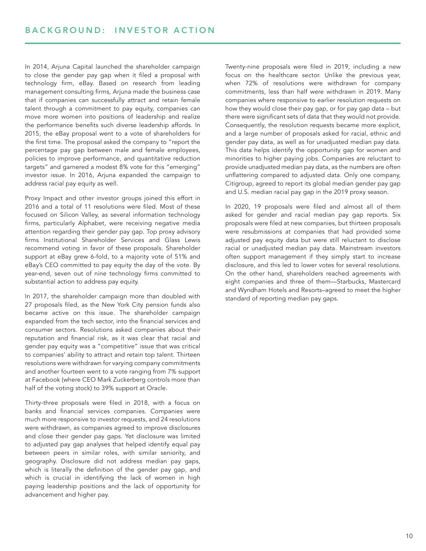In 2014, Arjuna Capital launched the shareholder campaign to close the gender pay gap when it filed a proposal with technology firm, eBay. Based on research from leading management consulting firms, Arjuna made the business case that if companies can successfully attract and retain female talent through a commitment to pay equity, companies can move more women into positions of leadership and realize the performance benefits such diverse leadership affords. In 2015, the eBay proposal went to a vote of shareholders for the first time. The proposal asked the company to "report the percentage pay gap between male and female employees, policies to improve performance, and quantitative reduction targets" and garnered a modest 8% vote for this "emerging" investor issue. In 2016, Arjuna expanded the campaign to address racial pay equity as well.

Proxy Impact and other investor groups joined this effort in 2016 and a total of 11 resolutions were filed. Most of these focused on Silicon Valley, as several information technology firms, particularly Alphabet, were receiving negative media attention regarding their gender pay gap. Top proxy advisory firms Institutional Shareholder Services and Glass Lewis recommend voting in favor of these proposals. Shareholder support at eBay grew 6-fold, to a majority vote of 51% and eBay's CEO committed to pay equity the day of the vote. By year-end, seven out of nine technology firms committed to substantial action to address pay equity.

In 2017, the shareholder campaign more than doubled with 27 proposals filed, as the New York City pension funds also became active on this issue. The shareholder campaign expanded from the tech sector, into the financial services and consumer sectors. Resolutions asked companies about their reputation and financial risk, as it was clear that racial and gender pay equity was a "competitive" issue that was critical to companies' ability to attract and retain top talent. Thirteen resolutions were withdrawn for varying company commitments and another fourteen went to a vote ranging from 7% support at Facebook (where CEO Mark Zuckerberg controls more than half of the voting stock) to 39% support at Oracle.

Thirty-three proposals were filed in 2018, with a focus on banks and financial services companies. Companies were much more responsive to investor requests, and 24 resolutions were withdrawn, as companies agreed to improve disclosures and close their gender pay gaps. Yet disclosure was limited to adjusted pay gap analyses that helped identify equal pay between peers in similar roles, with similar seniority, and geography. Disclosure did not address median pay gaps, which is literally the definition of the gender pay gap, and which is crucial in identifying the lack of women in high paying leadership positions and the lack of opportunity for advancement and higher pay.

Twenty-nine proposals were filed in 2019, including a new focus on the healthcare sector. Unlike the previous year, when 72% of resolutions were withdrawn for company commitments, less than half were withdrawn in 2019. Many companies where responsive to earlier resolution requests on how they would close their pay gap, or for pay gap data – but there were significant sets of data that they would not provide. Consequently, the resolution requests became more explicit, and a large number of proposals asked for racial, ethnic and gender pay data, as well as for unadjusted median pay data. This data helps identify the opportunity gap for women and minorities to higher paying jobs. Companies are reluctant to provide unadjusted median pay data, as the numbers are often unflattering compared to adjusted data. Only one company, Citigroup, agreed to report its global median gender pay gap and U.S. median racial pay gap in the 2019 proxy season.

In 2020, 19 proposals were filed and almost all of them asked for gender and racial median pay gap reports. Six proposals were filed at new companies, but thirteen proposals were resubmissions at companies that had provided some adjusted pay equity data but were still reluctant to disclose racial or unadjusted median pay data. Mainstream investors often support management if they simply start to increase disclosure, and this led to lower votes for several resolutions. On the other hand, shareholders reached agreements with eight companies and three of them—Starbucks, Mastercard and Wyndham Hotels and Resorts–agreed to meet the higher standard of reporting median pay gaps.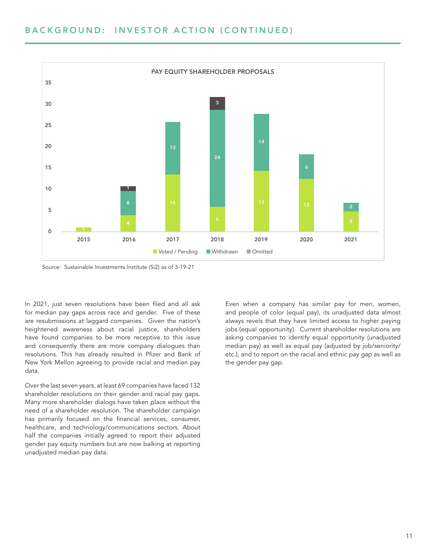### BACKGROUND: INVESTOR ACTION (CONTINUED)



Source: Sustainable Investments Institute (Si2) as of 3-19-21

In 2021, just seven resolutions have been filed and all ask for median pay gaps across race and gender. Five of these are resubmissions at laggard companies. Given the nation's heightened awareness about racial justice, shareholders have found companies to be more receptive to this issue and consequently there are more company dialogues than resolutions. This has already resulted in Pfizer and Bank of New York Mellon agreeing to provide racial and median pay data.

Over the last seven years, at least 69 companies have faced 132 shareholder resolutions on their gender and racial pay gaps. Many more shareholder dialogs have taken place without the need of a shareholder resolution. The shareholder campaign has primarily focused on the financial services, consumer, healthcare, and technology/communications sectors. About half the companies initially agreed to report their adjusted gender pay equity numbers but are now balking at reporting unadjusted median pay data.

Even when a company has similar pay for men, women, and people of color (equal pay), its unadjusted data almost always revels that they have limited access to higher paying jobs (equal opportunity). Current shareholder resolutions are asking companies to identify equal opportunity (unadjusted median pay) as well as equal pay (adjusted by job/seniority/ etc.), and to report on the racial and ethnic pay gap as well as the gender pay gap.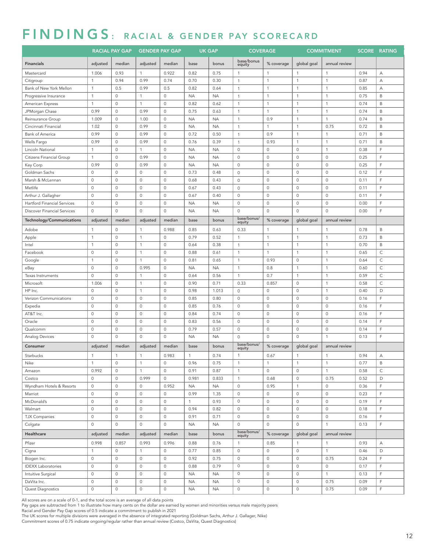### FINDINGS: RACIAL & GENDER PAY SCORECARD

|                             |                | <b>RACIAL PAY GAP</b> | <b>GENDER PAY GAP</b> |                     |              | <b>UK GAP</b> | <b>COVERAGE</b>       |                     |                     | <b>COMMITMENT</b>   |      | <b>SCORE RATING</b> |
|-----------------------------|----------------|-----------------------|-----------------------|---------------------|--------------|---------------|-----------------------|---------------------|---------------------|---------------------|------|---------------------|
| <b>Financials</b>           | adjusted       | median                | adjusted              | median              | base         | bonus         | base/bonus<br>equity  | % coverage          | global goal         | annual review       |      |                     |
| Mastercard                  | 1.006          | 0.93                  | $\mathbf{1}$          | 0.922               | 0.82         | 0.75          | $\mathbf{1}$          | $\mathbf{1}$        | $\mathbf{1}$        | $\mathbf{1}$        | 0.94 | А                   |
| Citigroup                   | $\mathbf{1}$   | 0.94                  | 0.99                  | 0.74                | 0.70         | 0.30          | $\mathbf{1}$          | $\mathbf{1}$        | $\mathbf{1}$        | $\mathbf{1}$        | 0.87 | А                   |
| Bank of New York Mellon     | $\mathbf{1}$   | 0.5                   | 0.99                  | 0.5                 | 0.82         | 0.64          | $\mathbf{1}$          | $\mathbf{1}$        | $\mathbf{1}$        | $\mathbf{1}$        | 0.85 | А                   |
| Progressive Insurance       | $\overline{1}$ | $\mathbb O$           | $\mathbf{1}$          | $\circ$             | <b>NA</b>    | <b>NA</b>     | $\mathbf{1}$          | $\mathbf{1}$        | $\mathbf{1}$        | $\mathbf{1}$        | 0.75 | $\mathsf B$         |
| American Express            | $\mathbf{1}$   | $\circ$               | $\mathbf{1}$          | $\mathbb O$         | 0.82         | 0.62          | $\mathbf{1}$          | $\mathbf{1}$        | $\mathbf{1}$        | $\mathbf{1}$        | 0.74 | B                   |
| JPMorgan Chase              | 0.99           | $\mathbb O$           | 0.99                  | $\mathbb O$         | 0.75         | 0.63          | $\mathbf{1}$          | $\mathbf{1}$        | $\mathbf{1}$        | $\mathbf{1}$        | 0.74 | B                   |
| Reinsurance Group           | 1.009          | $\mathbb O$           | 1.00                  | $\circ$             | <b>NA</b>    | ΝA            | $\mathbf{1}$          | 0.9                 | $\overline{1}$      | $\mathbf{1}$        | 0.74 | $\mathsf B$         |
| Cincinnati Financial        | 1.02           | $\circ$               | 0.99                  | $\circ$             | <b>NA</b>    | <b>NA</b>     | $\mathbf{1}$          | $\mathbf{1}$        | $\mathbf{1}$        | 0.75                | 0.72 | $\mathsf B$         |
| Bank of America             | 0.99           | $\mathbb O$           | 0.99                  | $\circ$             | 0.72         | 0.50          | $\mathbf{1}$          | 0.9                 | $\mathbf{1}$        | $\mathbf{1}$        | 0.71 | B                   |
| Wells Fargo                 | 0.99           | $\circ$               | 0.99                  | $\circ$             | 0.76         | 0.39          | $\mathbf{1}$          | 0.93                | $\mathbf{1}$        | $\mathbf{1}$        | 0.71 | $\mathsf B$         |
| Lincoln National            | $\mathbf{1}$   | $\circ$               | $\mathbf{1}$          | $\mathbb O$         | <b>NA</b>    | <b>NA</b>     | $\circ$               | 0                   | $\mathbb O$         | $\mathbf{1}$        | 0.38 | F                   |
| Citizens Financial Group    | $\mathbf{1}$   | $\circ$               | 0.99                  | $\mathbb O$         | <b>NA</b>    | <b>NA</b>     | $\circ$               | 0                   | $\mathbb O$         | $\mathbf{0}$        | 0.25 | F                   |
| Key Corp                    | 0.99           | $\circ$               | 0.99                  | $\circ$             | <b>NA</b>    | ΝA            | $\circ$               | $\mathsf{O}\xspace$ | $\circ$             | $\mathbf{0}$        | 0.25 | F                   |
| Goldman Sachs               | $\mathbb O$    | $\circ$               | $\circ$               | $\mathbb O$         | 0.73         | 0.48          | $\circ$               | $\mathsf 0$         | $\mathbb O$         | $\mathbf 0$         | 0.12 | F                   |
| Marsh & McLennan            | $\circ$        | $\mathbb O$           | $\circ$               | $\circ$             | 0.68         | 0.43          | $\circ$               | $\mathsf O$         | $\mathsf{O}\xspace$ | $\circ$             | 0.11 | F                   |
| Metlife                     | $\circ$        | $\circ$               | $\circ$               | $\circ$             | 0.67         | 0.43          | $\circ$               | $\mathsf 0$         | $\mathbb O$         | $\mathbf 0$         | 0.11 | F                   |
| Arthur J. Gallagher         | $\circ$        | $\circ$               | $\circ$               | $\circ$             | 0.67         | 0.40          | $\mathsf{O}\xspace$   | 0                   | $\mathbf 0$         | $\mathbf 0$         | 0.11 | F                   |
| Hartford Financial Services | $\circ$        | $\mathbb O$           | $\circ$               | $\circ$             | <b>NA</b>    | <b>NA</b>     | $\mathsf{O}\xspace$   | 0                   | $\mathsf{O}\xspace$ | $\circ$             | 0.00 | F                   |
| Discover Financial Services | $\mathbb O$    | $\circ$               | $\circ$               | $\mathbb O$         | <b>NA</b>    | <b>NA</b>     | $\circ$               | $\circ$             | $\circ$             | $\mathbf 0$         | 0.00 | $\mathsf F$         |
| Technology/Communications   | adjusted       | median                | adjusted              | median              | base         | bonus         | base/bonus/<br>equity | % coverage          | global goal         | annual review       |      |                     |
| Adobe                       | $\overline{1}$ | $\circ$               | $\mathbf{1}$          | 0.988               | 0.85         | 0.63          | 0.33                  | $\mathbf{1}$        | $\mathbf{1}$        | $\mathbf{1}$        | 0.78 | $\mathsf B$         |
| Apple                       | $\mathbf{1}$   | $\circ$               | $\mathbf{1}$          | $\circ$             | 0.79         | 0.52          | $\mathbf{1}$          | $\mathbf{1}$        | $\mathbf{1}$        | $\mathbf{1}$        | 0.73 | $\mathsf B$         |
| Intel                       | $\overline{1}$ | $\mathbb O$           | $\mathbf{1}$          | $\mathbb O$         | 0.64         | 0.38          | $\mathbf{1}$          | $\mathbf{1}$        | $\overline{1}$      | $\mathbf{1}$        | 0.70 | B                   |
| Facebook                    | $\circ$        | $\circ$               | $\mathbf{1}$          | $\circ$             | 0.88         | 0.61          | $\mathbf{1}$          | $\mathbf{1}$        | $\overline{1}$      | $\mathbf{1}$        | 0.65 | $\mathsf{C}$        |
| Google                      | $\mathbf{1}$   | $\circ$               | $\mathbf{1}$          | $\circ$             | 0.81         | 0.65          | $\mathbf{1}$          | 0.93                | $\mathbb O$         | $\mathbf{1}$        | 0.64 | $\mathsf C$         |
| eBay                        | $\circ$        | $\mathbb O$           | 0.995                 | 0                   | <b>NA</b>    | <b>NA</b>     | $\mathbf{1}$          | 0.8                 | 1                   | $\mathbf{1}$        | 0.60 | $\mathsf C$         |
| Texas Instruments           | $\circ$        | $\circ$               | $\mathbf{1}$          | $\mathbb O$         | 0.64         | 0.56          | $\mathbf{1}$          | 0.7                 | $\mathbf{1}$        | $\mathbf{1}$        | 0.59 | $\mathsf{C}$        |
| Microsoft                   | 1.006          | $\circ$               | $\mathbf{1}$          | $\mathbb O$         | 0.90         | 0.71          | 0.33                  | 0.857               | $\mathbb O$         | $\mathbf{1}$        | 0.58 | $\mathsf C$         |
| HP Inc.                     | $\circ$        | $\mathbb O$           | $\mathbf{1}$          | $\mathbb O$         | 0.98         | 1.013         | $\circ$               | 0                   | $\mathsf{O}\xspace$ | $\mathbf{1}$        | 0.40 | D                   |
| Verizon Communications      | $\circ$        | $\circ$               | $\circ$               | $\mathbb O$         | 0.85         | 0.80          | $\circ$               | $\mathsf 0$         | $\circ$             | $\mathbf 0$         | 0.16 | F                   |
| Expedia                     | $\circ$        | $\circ$               | $\circ$               | $\mathbb O$         | 0.85         | 0.76          | $\circ$               | $\mathsf 0$         | $\mathbb O$         | $\mathbf 0$         | 0.16 | E                   |
| AT&T Inc.                   | $\circ$        | $\mathbb O$           | $\circ$               | $\circ$             | 0.84         | 0.74          | $\circ$               | 0                   | $\mathsf{O}\xspace$ | $\circ$             | 0.16 | F                   |
| Oracle                      | $\circ$        | $\circ$               | $\circ$               | $\mathbb O$         | 0.83         | 0.56          | $\mathbb O$           | $\mathsf 0$         | $\mathbb O$         | $\mathbf 0$         | 0.14 | F                   |
| Qualcomm                    | $\mathbb O$    | $\mathbb O$           | $\circ$               | $\mathbb O$         | 0.79         | 0.57          | $\mathbb O$           | 0                   | $\mathbf 0$         | $\mathbf 0$         | 0.14 | F                   |
| Analog Devices              | $\circ$        | $\mathbb O$           | $\circ$               | $\mathbb O$         | <b>NA</b>    | <b>NA</b>     | $\circ$               | 0                   | $\mathbf 0$         | $\mathbf{1}$        | 0.13 | $\mathsf F$         |
| Consumer                    | adjusted       | median                | adjusted              | median              | base         | bonus         | base/bonus/<br>equity | % coverage          | global goal         | annual review       |      |                     |
| Starbucks                   | $\mathbf{1}$   | $\overline{1}$        | $\mathbf{1}$          | 0.983               | $\mathbf{1}$ | 0.74          | $\mathbf{1}$          | 0.67                | $\mathbf{1}$        | $\overline{1}$      | 0.94 | А                   |
| Nike                        | $\mathbf{1}$   | $\circ$               | $\mathbf{1}$          | $\circ$             | 0.96         | 0.75          | $\mathbf{1}$          | $\mathbf{1}$        | $\mathbf{1}$        | $\mathbf{1}$        | 0.77 | $\mathsf B$         |
| Amazon                      | 0.992          | $\circ$               | $\mathbf{1}$          | $\mathbb O$         | 0.91         | 0.87          | $\mathbf{1}$          | $\mathsf{O}\xspace$ | $\mathsf{O}\xspace$ | $\mathbf{1}$        | 0.58 | $\mathsf{C}$        |
| Costco                      | $\mathbf 0$    | $\circ$               | 0.999                 | $\mathsf{O}\xspace$ | 0.981        | 0.833         | $\mathbf{1}$          | 0.68                | $\mathsf{O}\xspace$ | 0.75                | 0.52 | D                   |
| Wyndham Hotels & Resorts    | $\mathbb O$    | $\circ$               | $\circ$               | 0.952               | <b>NA</b>    | <b>NA</b>     | $\circ$               | 0.95                | $\mathbf{1}$        | $\mathbf 0$         | 0.36 | $\mathsf F$         |
| Marriot                     | $\mathbf 0$    | $\mathsf{O}\xspace$   | $\circ$               | $\mathbb O$         | 0.99         | 1.35          | $\mathbb O$           | 0                   | $\mathsf{O}\xspace$ | $\mathbf 0$         | 0.23 | $\mathsf F$         |
| McDonald's                  | $\circ$        | $\circ$               | $\circ$               | $\mathsf{O}\xspace$ | $\mathbf{1}$ | 0.93          | $\mathsf{O}\xspace$   | $\mathsf 0$         | $\circ$             | $\mathbf 0$         | 0.19 | $\mathsf F$         |
| Walmart                     | $\circ$        | $\circ$               | $\circ$               | $\mathbb O$         | 0.94         | 0.82          | $\circ$               | $\mathsf{O}\xspace$ | $\circ$             | $\mathsf{O}\xspace$ | 0.18 | E                   |
| <b>TJX Companies</b>        | $\mathbf 0$    | $\mathsf{O}\xspace$   | $\circ$               | $\mathbb O$         | 0.91         | 0.71          | $\mathbb O$           | $\mathsf 0$         | $\mathsf{O}\xspace$ | $\mathbf 0$         | 0.16 | E                   |
| Colgate                     | $\mathbf{0}$   | $\circ$               | $\mathsf{O}\xspace$   | $\mathsf{O}\xspace$ | <b>NA</b>    | <b>NA</b>     | $\mathbb O$           | $\mathbf 0$         | $\mathsf{O}\xspace$ | $\mathbf{1}$        | 0.13 | $\mathsf F$         |
| Healthcare                  | adjusted       | median                | adjusted              | median              | base         | bonus         | base/bonus/<br>equity | % coverage          | global goal         | annual review       |      |                     |
| Pfizer                      | 0.998          | 0.857                 | 0.993                 | 0.996               | 0.88         | 0.76          | $\mathbf{1}$          | 0.85                | $\mathbf{1}$        | $\mathbf{1}$        | 0.93 | Α                   |
| Cigna                       | $\mathbf{1}$   | $\mathbb O$           | $\mathbf{1}$          | $\circ$             | 0.77         | 0.85          | $\mathbb O$           | 0                   | $\circ$             | $\mathbf{1}$        | 0.46 | D                   |
| Biogen Inc.                 | $\mathbb O$    | $\circ$               | $\circ$               | $\mathbb O$         | 0.92         | 0.75          | $\mathbb O$           | 0                   | $\circ$             | 0.75                | 0.24 | $\mathsf F$         |
| <b>IDEXX Laboratories</b>   | $\circ$        | $\circ$               | $\circ$               | $\mathbb O$         | 0.88         | 0.79          | $\mathbb O$           | $\mathsf 0$         | $\mathbb O$         | $\mathbf 0$         | 0.17 | F                   |
| Intuitive Surgical          | $\circ$        | $\mathbb O$           | $\circ$               | $\circ$             | <b>NA</b>    | <b>NA</b>     | $\mathbb O$           | $\mathsf{O}\xspace$ | $\circ$             | $\mathbf{1}$        | 0.13 | F                   |
| DaVita Inc.                 | $\circ$        | $\circ$               | $\mathsf O$           | $\circ$             | <b>NA</b>    | <b>NA</b>     | $\mathsf{O}\xspace$   | 0                   | $\circ$             | 0.75                | 0.09 | $\mathsf F$         |
| Quest Diagnostics           | $\circ$        | $\mathsf{O}\xspace$   | $\mathsf{O}\xspace$   | $\mathbb O$         | <b>NA</b>    | <b>NA</b>     | $\mathsf{O}\xspace$   | $\mathsf{O}\xspace$ | $\mathsf{O}\xspace$ | 0.75                | 0.09 | F                   |

All scores are on a scale of 0-1, and the total score is an average of all data points

Pay gaps are subtracted from 1 to illustrate how many cents on the dollar are earned by women and minorities versus male majority peers Racial and Gender Pay Gap scores of 0.5 indicate a commitment to publish in 2021

The UK scores for multiple divisions were averaged in the absence of integrated reporting (Goldman Sachs, Arthur J. Gallager, Nike)<br>Commitment scores of 0.75 indicate ongoing/regular rather than annual review (Costco, DaVi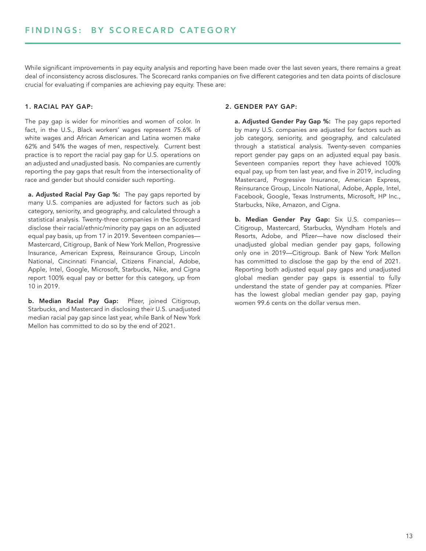While significant improvements in pay equity analysis and reporting have been made over the last seven years, there remains a great deal of inconsistency across disclosures. The Scorecard ranks companies on five different categories and ten data points of disclosure crucial for evaluating if companies are achieving pay equity. These are:

### 1. RACIAL PAY GAP:

The pay gap is wider for minorities and women of color. In fact, in the U.S., Black workers' wages represent 75.6% of white wages and African American and Latina women make 62% and 54% the wages of men, respectively. Current best practice is to report the racial pay gap for U.S. operations on an adjusted and unadjusted basis. No companies are currently reporting the pay gaps that result from the intersectionality of race and gender but should consider such reporting.

a. Adjusted Racial Pay Gap %: The pay gaps reported by many U.S. companies are adjusted for factors such as job category, seniority, and geography, and calculated through a statistical analysis. Twenty-three companies in the Scorecard disclose their racial/ethnic/minority pay gaps on an adjusted equal pay basis, up from 17 in 2019. Seventeen companies— Mastercard, Citigroup, Bank of New York Mellon, Progressive Insurance, American Express, Reinsurance Group, Lincoln National, Cincinnati Financial, Citizens Financial, Adobe, Apple, Intel, Google, Microsoft, Starbucks, Nike, and Cigna report 100% equal pay or better for this category, up from 10 in 2019.

b. Median Racial Pay Gap: Pfizer, joined Citigroup, Starbucks, and Mastercard in disclosing their U.S. unadjusted median racial pay gap since last year, while Bank of New York Mellon has committed to do so by the end of 2021.

### 2. GENDER PAY GAP:

a. Adjusted Gender Pay Gap %: The pay gaps reported by many U.S. companies are adjusted for factors such as job category, seniority, and geography, and calculated through a statistical analysis. Twenty-seven companies report gender pay gaps on an adjusted equal pay basis. Seventeen companies report they have achieved 100% equal pay, up from ten last year, and five in 2019, including Mastercard, Progressive Insurance, American Express, Reinsurance Group, Lincoln National, Adobe, Apple, Intel, Facebook, Google, Texas Instruments, Microsoft, HP Inc., Starbucks, Nike, Amazon, and Cigna.

b. Median Gender Pay Gap: Six U.S. companies— Citigroup, Mastercard, Starbucks, Wyndham Hotels and Resorts, Adobe, and Pfizer—have now disclosed their unadjusted global median gender pay gaps, following only one in 2019—Citigroup. Bank of New York Mellon has committed to disclose the gap by the end of 2021. Reporting both adjusted equal pay gaps and unadjusted global median gender pay gaps is essential to fully understand the state of gender pay at companies. Pfizer has the lowest global median gender pay gap, paying women 99.6 cents on the dollar versus men.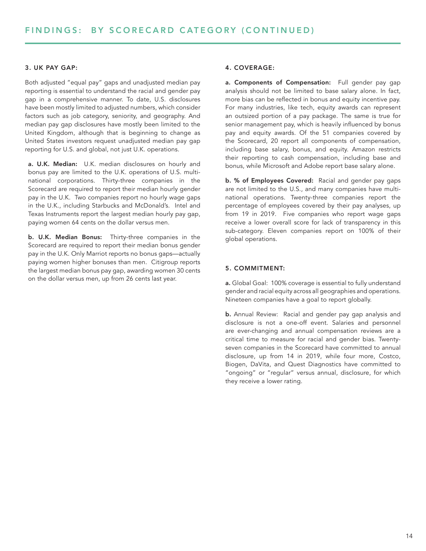### 3. UK PAY GAP:

Both adjusted "equal pay" gaps and unadjusted median pay reporting is essential to understand the racial and gender pay gap in a comprehensive manner. To date, U.S. disclosures have been mostly limited to adjusted numbers, which consider factors such as job category, seniority, and geography. And median pay gap disclosures have mostly been limited to the United Kingdom, although that is beginning to change as United States investors request unadjusted median pay gap reporting for U.S. and global, not just U.K. operations.

a. U.K. Median: U.K. median disclosures on hourly and bonus pay are limited to the U.K. operations of U.S. multinational corporations. Thirty-three companies in the Scorecard are required to report their median hourly gender pay in the U.K. Two companies report no hourly wage gaps in the U.K., including Starbucks and McDonald's. Intel and Texas Instruments report the largest median hourly pay gap, paying women 64 cents on the dollar versus men.

b. U.K. Median Bonus: Thirty-three companies in the Scorecard are required to report their median bonus gender pay in the U.K. Only Marriot reports no bonus gaps—actually paying women higher bonuses than men. Citigroup reports the largest median bonus pay gap, awarding women 30 cents on the dollar versus men, up from 26 cents last year.

### 4. COVERAGE:

a. Components of Compensation: Full gender pay gap analysis should not be limited to base salary alone. In fact, more bias can be reflected in bonus and equity incentive pay. For many industries, like tech, equity awards can represent an outsized portion of a pay package. The same is true for senior management pay, which is heavily influenced by bonus pay and equity awards. Of the 51 companies covered by the Scorecard, 20 report all components of compensation, including base salary, bonus, and equity. Amazon restricts their reporting to cash compensation, including base and bonus, while Microsoft and Adobe report base salary alone.

b. % of Employees Covered: Racial and gender pay gaps are not limited to the U.S., and many companies have multinational operations. Twenty-three companies report the percentage of employees covered by their pay analyses, up from 19 in 2019. Five companies who report wage gaps receive a lower overall score for lack of transparency in this sub-category. Eleven companies report on 100% of their global operations.

### 5. COMMITMENT:

a. Global Goal: 100% coverage is essential to fully understand gender and racial equity across all geographies and operations. Nineteen companies have a goal to report globally.

b. Annual Review: Racial and gender pay gap analysis and disclosure is not a one-off event. Salaries and personnel are ever-changing and annual compensation reviews are a critical time to measure for racial and gender bias. Twentyseven companies in the Scorecard have committed to annual disclosure, up from 14 in 2019, while four more, Costco, Biogen, DaVita, and Quest Diagnostics have committed to "ongoing" or "regular" versus annual, disclosure, for which they receive a lower rating.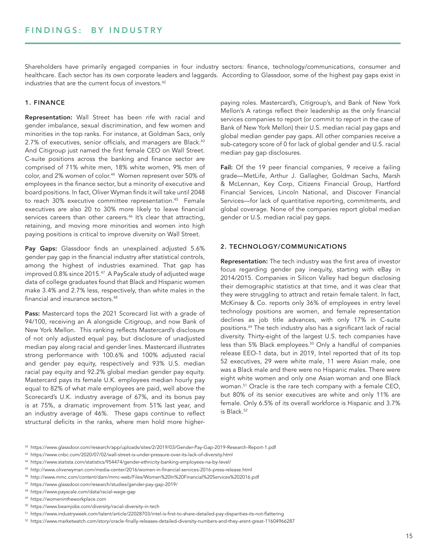Shareholders have primarily engaged companies in four industry sectors: finance, technology/communications, consumer and healthcare. Each sector has its own corporate leaders and laggards. According to Glassdoor, some of the highest pay gaps exist in industries that are the current focus of investors.<sup>42</sup>

### 1. FINANCE

Representation: Wall Street has been rife with racial and gender imbalance, sexual discrimination, and few women and minorities in the top ranks. For instance, at Goldman Sacs, only 2.7% of executives, senior officials, and managers are Black.<sup>43</sup> And Citigroup just named the first female CEO on Wall Street. C-suite positions across the banking and finance sector are comprised of 71% white men, 18% white women, 9% men of color, and 2% women of color.<sup>44</sup> Women represent over 50% of employees in the finance sector, but a minority of executive and board positions. In fact, Oliver Wyman finds it will take until 2048 to reach 30% executive committee representation.45 Female executives are also 20 to 30% more likely to leave financial services careers than other careers.<sup>46</sup> It's clear that attracting, retaining, and moving more minorities and women into high paying positions is critical to improve diversity on Wall Street.

Pay Gaps: Glassdoor finds an unexplained adjusted 5.6% gender pay gap in the financial industry after statistical controls, among the highest of industries examined. That gap has improved 0.8% since 2015.<sup>47</sup> A PayScale study of adjusted wage data of college graduates found that Black and Hispanic women make 3.4% and 2.7% less, respectively, than white males in the financial and insurance sectors.<sup>48</sup>

Pass: Mastercard tops the 2021 Scorecard list with a grade of 94/100, receiving an A alongside Citigroup, and now Bank of New York Mellon. This ranking reflects Mastercard's disclosure of not only adjusted equal pay, but disclosure of unadjusted median pay along racial and gender lines. Mastercard illustrates strong performance with 100.6% and 100% adjusted racial and gender pay equity, respectively and 93% U.S. median racial pay equity and 92.2% global median gender pay equity. Mastercard pays its female U.K. employees median hourly pay equal to 82% of what male employees are paid, well above the Scorecard's U.K. industry average of 67%, and its bonus pay is at 75%, a dramatic improvement from 51% last year, and an industry average of 46%. These gaps continue to reflect structural deficits in the ranks, where men hold more higherpaying roles. Mastercard's, Citigroup's, and Bank of New York Mellon's A ratings reflect their leadership as the only financial services companies to report (or commit to report in the case of Bank of New York Mellon) their U.S. median racial pay gaps and global median gender pay gaps. All other companies receive a sub-category score of 0 for lack of global gender and U.S. racial median pay gap disclosures.

Fail: Of the 19 peer financial companies, 9 receive a failing grade—MetLife, Arthur J. Gallagher, Goldman Sachs, Marsh & McLennan, Key Corp, Citizens Financial Group, Hartford Financial Services, Lincoln National, and Discover Financial Services—for lack of quantitative reporting, commitments, and global coverage. None of the companies report global median gender or U.S. median racial pay gaps.

### 2. TECHNOLOGY/COMMUNICATIONS

Representation: The tech industry was the first area of investor focus regarding gender pay inequity, starting with eBay in 2014/2015. Companies in Silicon Valley had begun disclosing their demographic statistics at that time, and it was clear that they were struggling to attract and retain female talent. In fact, McKinsey & Co. reports only 36% of employees in entry level technology positions are women, and female representation declines as job title advances, with only 17% in C-suite positions.49 The tech industry also has a significant lack of racial diversity. Thirty-eight of the largest U.S. tech companies have less than 5% Black employees.50 Only a handful of companies release EEO-1 data, but in 2019, Intel reported that of its top 52 executives, 29 were white male, 11 were Asian male, one was a Black male and there were no Hispanic males. There were eight white women and only one Asian woman and one Black woman.51 Oracle is the rare tech company with a female CEO, but 80% of its senior executives are white and only 11% are female. Only 6.5% of its overall workforce is Hispanic and 3.7% is Black.52

- <sup>45</sup> http://www.oliverwyman.com/media-center/2016/women-in-financial-services-2016-press-release.html
- <sup>46</sup> http://www.mmc.com/content/dam/mmc-web/Files/Women%20In%20Financial%20Services%202016.pdf

<sup>42</sup> https://www.glassdoor.com/research/app/uploads/sites/2/2019/03/Gender-Pay-Gap-2019-Research-Report-1.pdf

<sup>43</sup> https://www.cnbc.com/2020/07/02/wall-street-is-under-pressure-over-its-lack-of-diversity.html

<sup>44</sup> https://www.statista.com/statistics/954474/gender-ethnicity-banking-employees-na-by-level/

<sup>47</sup> https://www.glassdoor.com/research/studies/gender-pay-gap-2019/

<sup>48</sup> https://www.payscale.com/data/racial-wage-gap

<sup>49</sup> https://womenintheworkplace.com

<sup>50</sup> https://www.beamjobs.com/diversity/racial-diversity-in-tech

<sup>51</sup> https://www.industryweek.com/talent/article/22028703/intel-is-first-to-share-detailed-pay-disparities-its-not-flattering

<sup>52</sup> https://www.marketwatch.com/story/oracle-finally-releases-detailed-diversity-numbers-and-they-arent-great-11604966287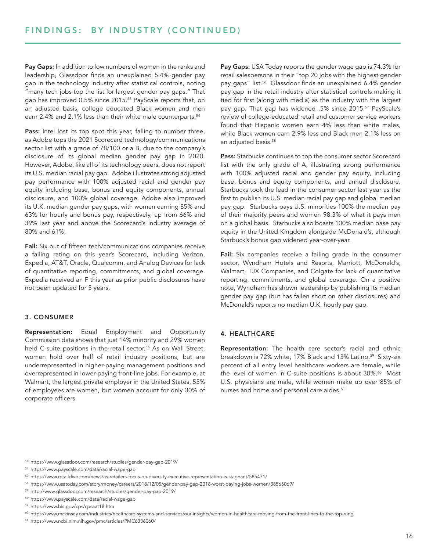Pay Gaps: In addition to low numbers of women in the ranks and leadership, Glassdoor finds an unexplained 5.4% gender pay gap in the technology industry after statistical controls, noting "many tech jobs top the list for largest gender pay gaps." That gap has improved 0.5% since 2015.<sup>53</sup> PayScale reports that, on an adjusted basis, college educated Black women and men earn 2.4% and 2.1% less than their white male counterparts.<sup>54</sup>

Pass: Intel lost its top spot this year, falling to number three, as Adobe tops the 2021 Scorecard technology/communications sector list with a grade of 78/100 or a B, due to the company's disclosure of its global median gender pay gap in 2020. However, Adobe, like all of its technology peers, does not report its U.S. median racial pay gap. Adobe illustrates strong adjusted pay performance with 100% adjusted racial and gender pay equity including base, bonus and equity components, annual disclosure, and 100% global coverage. Adobe also improved its U.K. median gender pay gaps, with women earning 85% and 63% for hourly and bonus pay, respectively, up from 66% and 39% last year and above the Scorecard's industry average of 80% and 61%.

Fail: Six out of fifteen tech/communications companies receive a failing rating on this year's Scorecard, including Verizon, Expedia, AT&T, Oracle, Qualcomm, and Analog Devices for lack of quantitative reporting, commitments, and global coverage. Expedia received an F this year as prior public disclosures have not been updated for 5 years.

### 3. CONSUMER

Representation: Equal Employment and Opportunity Commission data shows that just 14% minority and 29% women held C-suite positions in the retail sector.<sup>55</sup> As on Wall Street, women hold over half of retail industry positions, but are underrepresented in higher-paying management positions and overrepresented in lower-paying front-line jobs. For example, at Walmart, the largest private employer in the United States, 55% of employees are women, but women account for only 30% of corporate officers.

Pay Gaps: USA Today reports the gender wage gap is 74.3% for retail salespersons in their "top 20 jobs with the highest gender pay gaps" list.<sup>56</sup> Glassdoor finds an unexplained 6.4% gender pay gap in the retail industry after statistical controls making it tied for first (along with media) as the industry with the largest pay gap. That gap has widened .5% since 2015.57 PayScale's review of college-educated retail and customer service workers found that Hispanic women earn 4% less than white males, while Black women earn 2.9% less and Black men 2.1% less on an adjusted basis.<sup>58</sup>

Pass: Starbucks continues to top the consumer sector Scorecard list with the only grade of A, illustrating strong performance with 100% adjusted racial and gender pay equity, including base, bonus and equity components, and annual disclosure. Starbucks took the lead in the consumer sector last year as the first to publish its U.S. median racial pay gap and global median pay gap. Starbucks pays U.S. minorities 100% the median pay of their majority peers and women 98.3% of what it pays men on a global basis. Starbucks also boasts 100% median base pay equity in the United Kingdom alongside McDonald's, although Starbuck's bonus gap widened year-over-year.

Fail: Six companies receive a failing grade in the consumer sector, Wyndham Hotels and Resorts, Marriott, McDonald's, Walmart, TJX Companies, and Colgate for lack of quantitative reporting, commitments, and global coverage. On a positive note, Wyndham has shown leadership by publishing its median gender pay gap (but has fallen short on other disclosures) and McDonald's reports no median U.K. hourly pay gap.

### 4. HEALTHCARE

Representation: The health care sector's racial and ethnic breakdown is 72% white, 17% Black and 13% Latino.<sup>59</sup> Sixty-six percent of all entry level healthcare workers are female, while the level of women in C-suite positions is about 30%.<sup>60</sup> Most U.S. physicians are male, while women make up over 85% of nurses and home and personal care aides.<sup>61</sup>

<sup>58</sup> https://www.payscale.com/data/racial-wage-gap

<sup>61</sup> https://www.ncbi.nlm.nih.gov/pmc/articles/PMC6336060/

<sup>53</sup> https://www.glassdoor.com/research/studies/gender-pay-gap-2019/

<sup>54</sup> https://www.payscale.com/data/racial-wage-gap

<sup>55</sup> https://www.retaildive.com/news/as-retailers-focus-on-diversity-executive-representation-is-stagnant/585471/

<sup>56</sup> https://www.usatoday.com/story/money/careers/2018/12/05/gender-pay-gap-2018-worst-paying-jobs-women/38565069/

<sup>57</sup> http://www.glassdoor.com/research/studies/gender-pay-gap-2019/

<sup>59</sup> https://www.bls.gov/cps/cpsaat18.htm

<sup>60</sup> https://www.mckinsey.com/industries/healthcare-systems-and-services/our-insights/women-in-healthcare-moving-from-the-front-lines-to-the-top-rung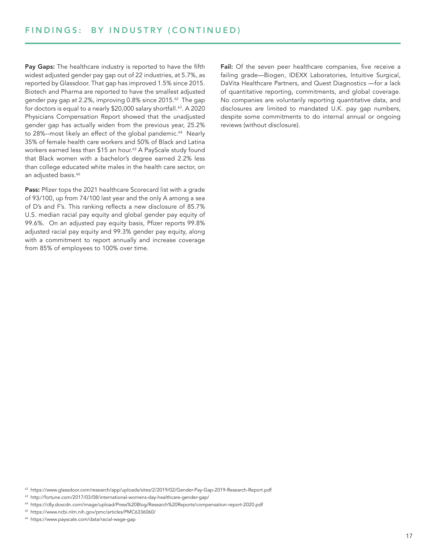Pay Gaps: The healthcare industry is reported to have the fifth widest adjusted gender pay gap out of 22 industries, at 5.7%, as reported by Glassdoor. That gap has improved 1.5% since 2015. Biotech and Pharma are reported to have the smallest adjusted gender pay gap at 2.2%, improving 0.8% since 2015.<sup>62</sup> The gap for doctors is equal to a nearly \$20,000 salary shortfall.<sup>63</sup>. A 2020 Physicians Compensation Report showed that the unadjusted gender gap has actually widen from the previous year, 25.2% to 28%--most likely an effect of the global pandemic.<sup>64</sup> Nearly 35% of female health care workers and 50% of Black and Latina workers earned less than \$15 an hour.<sup>65</sup> A PayScale study found that Black women with a bachelor's degree earned 2.2% less than college educated white males in the health care sector, on an adjusted basis.<sup>66</sup>

Pass: Pfizer tops the 2021 healthcare Scorecard list with a grade of 93/100, up from 74/100 last year and the only A among a sea of D's and F's. This ranking reflects a new disclosure of 85.7% U.S. median racial pay equity and global gender pay equity of 99.6%. On an adjusted pay equity basis, Pfizer reports 99.8% adjusted racial pay equity and 99.3% gender pay equity, along with a commitment to report annually and increase coverage from 85% of employees to 100% over time.

Fail: Of the seven peer healthcare companies, five receive a failing grade—Biogen, IDEXX Laboratories, Intuitive Surgical, DaVita Healthcare Partners, and Quest Diagnostics —for a lack of quantitative reporting, commitments, and global coverage. No companies are voluntarily reporting quantitative data, and disclosures are limited to mandated U.K. pay gap numbers, despite some commitments to do internal annual or ongoing reviews (without disclosure).

<sup>62</sup> https://www.glassdoor.com/research/app/uploads/sites/2/2019/02/Gender-Pay-Gap-2019-Research-Report.pdf

<sup>63</sup> http://fortune.com/2017/03/08/international-womens-day-healthcare-gender-gap/

<sup>64</sup> https://c8y.doxcdn.com/image/upload/Press%20Blog/Research%20Reports/compensation-report-2020.pdf

<sup>65</sup> https://www.ncbi.nlm.nih.gov/pmc/articles/PMC6336060/

<sup>66</sup> https://www.payscale.com/data/racial-wage-gap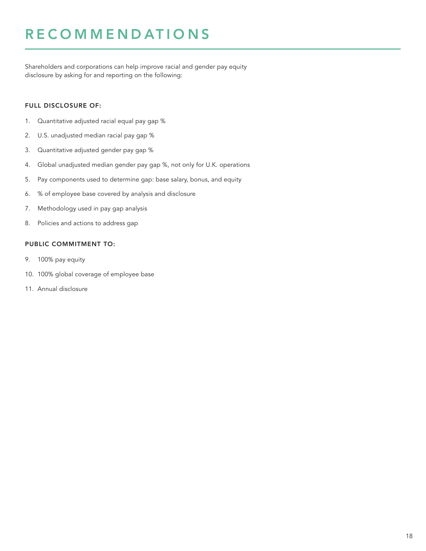### **RECOMMENDATIONS**

Shareholders and corporations can help improve racial and gender pay equity disclosure by asking for and reporting on the following:

### FULL DISCLOSURE OF:

- 1. Quantitative adjusted racial equal pay gap %
- 2. U.S. unadjusted median racial pay gap %
- 3. Quantitative adjusted gender pay gap %
- 4. Global unadjusted median gender pay gap %, not only for U.K. operations
- 5. Pay components used to determine gap: base salary, bonus, and equity
- 6. % of employee base covered by analysis and disclosure
- 7. Methodology used in pay gap analysis
- 8. Policies and actions to address gap

### PUBLIC COMMITMENT TO:

- 9. 100% pay equity
- 10. 100% global coverage of employee base
- 11. Annual disclosure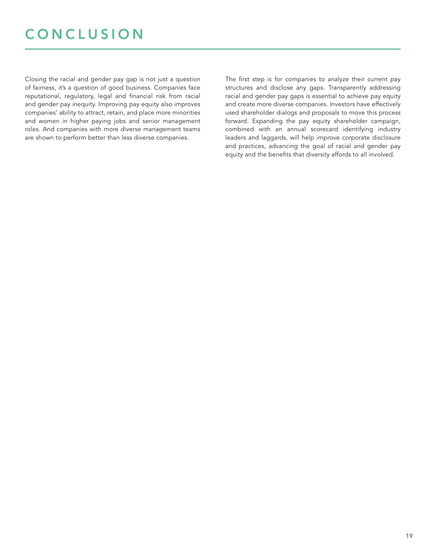### **CONCLUSION**

Closing the racial and gender pay gap is not just a question of fairness, it's a question of good business. Companies face reputational, regulatory, legal and financial risk from racial and gender pay inequity. Improving pay equity also improves companies' ability to attract, retain, and place more minorities and women in higher paying jobs and senior management roles. And companies with more diverse management teams are shown to perform better than less diverse companies.

The first step is for companies to analyze their current pay structures and disclose any gaps. Transparently addressing racial and gender pay gaps is essential to achieve pay equity and create more diverse companies. Investors have effectively used shareholder dialogs and proposals to move this process forward. Expanding the pay equity shareholder campaign, combined with an annual scorecard identifying industry leaders and laggards, will help improve corporate disclosure and practices, advancing the goal of racial and gender pay equity and the benefits that diversity affords to all involved.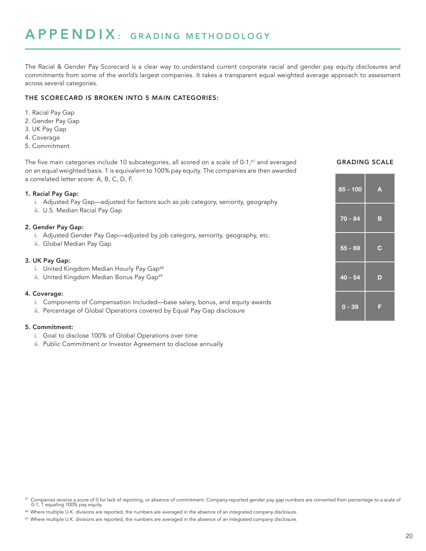The Racial & Gender Pay Scorecard is a clear way to understand current corporate racial and gender pay equity disclosures and commitments from some of the world's largest companies. It takes a transparent equal weighted average approach to assessment across several categories.

### THE SCORECARD IS BROKEN INTO 5 MAIN CATEGORIES:

- 1. Racial Pay Gap
- 2. Gender Pay Gap
- 3. UK Pay Gap
- 4. Coverage
- 5. Commitment

The five main categories include 10 subcategories, all scored on a scale of 0-1, $^{67}$  and averaged **GRADING SCALE** on an equal weighted basis. 1 is equivalent to 100% pay equity. The companies are then awarded a correlated letter score: A, B, C, D, F.

### 1. Racial Pay Gap:

- i. Adjusted Pay Gap—adjusted for factors such as job category, seniority, geography
- ii. U.S. Median Racial Pay Gap

### 2. Gender Pay Gap:

- i. Adjusted Gender Pay Gap—adjusted by job category, seniority, geography, etc.
- ii. Global Median Pay Gap

### 3. UK Pay Gap:

- i. United Kingdom Median Hourly Pay Gap<sup>68</sup>
- ii. United Kingdom Median Bonus Pay Gap<sup>69</sup>

### 4. Coverage:

- i. Components of Compensation Included—base salary, bonus, and equity awards
- ii. Percentage of Global Operations covered by Equal Pay Gap disclosure

### 5. Commitment:

- i. Goal to disclose 100% of Global Operations over time
- ii. Public Commitment or Investor Agreement to disclose annually

| $85 - 100$ | A           |
|------------|-------------|
| $70 - 84$  | в           |
| $55 - 69$  | $\mathbf C$ |
| $40 - 54$  | D           |
| $0 - 39$   | F           |

Companies receive a score of 0 for lack of reporting, or absence of commitment. Company-reported gender pay gap numbers are converted from percentage to a scale of 0-1, 1 equaling 100% pay equity.

<sup>&</sup>lt;sup>68</sup> Where multiple U.K. divisions are reported, the numbers are averaged in the absence of an integrated company disclosure.

<sup>&</sup>lt;sup>69</sup> Where multiple U.K. divisions are reported, the numbers are averaged in the absence of an integrated company disclosure.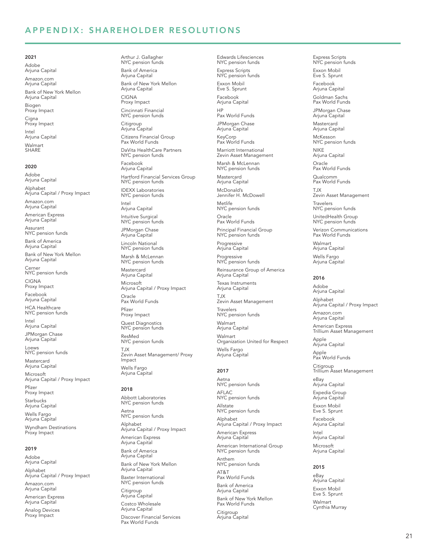### APPENDIX: SHAREHOLDER RESOLUTIONS

### 2021

Adobe Arjuna Capital Amazon.com Arjuna Capital Bank of New York Mellon Arjuna Capital Biogen

Proxy Impact Cigna Proxy Impact

Intel Arjuna Capital Walmart **SHARE** 

#### 2020

Adobe Arjuna Capital Alphabet Arjuna Capital / Proxy Impact

Amazon.com Arjuna Capital

American Express Arjuna Capital

Assurant NYC pension funds

Bank of America Arjuna Capital

Bank of New York Mellon Arjuna Capital

Cerner NYC pension funds CIGNA

Proxy Impact Facebook

Arjuna Capital HCA Healthcare

NYC pension funds

Intel Arjuna Capital JPMorgan Chase

Arjuna Capital

Loews NYC pension funds

Mastercard Arjuna Capital

Microsoft Arjuna Capital / Proxy Impact Pfizer

Proxy Impact Starbucks

Arjuna Capital Wells Fargo Arjuna Capital Wyndham Destinations Proxy Impact

### 2019

Adobe Arjuna Capital Alphabet Arjuna Capital / Proxy Impact Amazon.com Arjuna Capital

American Express Arjuna Capital

Analog Devices Proxy Impact

Arthur J. Gallagher NYC pension funds Bank of America Arjuna Capital Bank of New York Mellon

Arjuna Capital CIGNA

Proxy Impact Cincinnati Financial

NYC pension funds **Citigroup** 

Arjuna Capital Citizens Financial Group Pax World Funds DaVita HealthCare Partners NYC pension funds

Facebook Arjuna Capital Hartford Financial Services Group NYC pension funds

IDEXX Laboratories NYC pension funds

Intel Arjuna Capital

Intuitive Surgical NYC pension funds

JPMorgan Chase Arjuna Capital

Lincoln National NYC pension funds Marsh & McLennan

NYC pension funds Mastercard Arjuna Capital

Microsoft Arjuna Capital / Proxy Impact Oracle Pax World Funds Pfizer Proxy Impact

Quest Diagnostics NYC pension funds ResMed NYC pension funds TJX Zevin Asset Management/ Proxy Impact Wells Fargo Arjuna Capital

#### 2018

Abbott Laboratories NYC pension funds Aetna NYC pension funds Alphabet Arjuna Capital / Proxy Impact American Express Arjuna Capital Bank of America Arjuna Capital Bank of New York Mellon Arjuna Capital Baxter International NYC pension funds Citigroup Arjuna Capital

Costco Wholesale Arjuna Capital Discover Financial Services Pax World Funds

Eve S. Sprunt Facebook Arjuna Capital HP Pax World Funds JPMorgan Chase Arjuna Capital KeyCorp Pax World Funds Marriott International Zevin Asset Management Marsh & McLennan NYC pension funds Mastercard Arjuna Capital McDonald's Jennifer H. McDowell Metlife NYC pension funds Oracle Pax World Funds Principal Financial Group NYC pension funds Progressive Arjuna Capital Progressive NYC pension funds Reinsurance Group of America Arjuna Capital Texas Instruments Arjuna Capital TJX Zevin Asset Management Travelers NYC pension funds Walmart Arjuna Capital Walmart Organization United for Respect Wells Fargo Arjuna Capital

Edwards Lifesciences NYC pension funds Express Scripts NYC pension funds Exxon Mobil

### 2017

Aetna NYC pension funds AFLAC NYC pension funds Allstate NYC pension funds Alphabet Arjuna Capital / Proxy Impact American Express Arjuna Capital American International Group NYC pension funds Anthem NYC pension funds AT&T

Pax World Funds Bank of America Arjuna Capital Bank of New York Mellon Pax World Funds

Citigroup Arjuna Capital Express Scripts NYC pension funds

Exxon Mobil Eve S. Sprunt Facebook

Arjuna Capital Goldman Sachs Pax World Funds

JPMorgan Chase Arjuna Capital

Mastercard Arjuna Capital

McKesson NYC pension funds NIKE

Arjuna Capital Oracle

Pax World Funds Qualcomm

Pax World Funds TJX

Zevin Asset Management

Travelers NYC pension funds

UnitedHealth Group NYC pension funds

Verizon Communications Pax World Funds

Walmart Arjuna Capital Wells Fargo Arjuna Capital

#### 2016

Adobe Arjuna Capital Alphabet Arjuna Capital / Proxy Impact Amazon.com Arjuna Capital American Express Trillium Asset Management Apple Arjuna Capital Apple Pax World Funds Citigroup Trillium Asset Management eBay Arjuna Capital

Expedia Group Arjuna Capital

Exxon Mobil Eve S. Sprunt

Facebook Arjuna Capital Intel Arjuna Capital Microsoft Arjuna Capital

#### 2015

eBay Arjuna Capital Exxon Mobil Eve S. Sprunt Walmart Cynthia Murray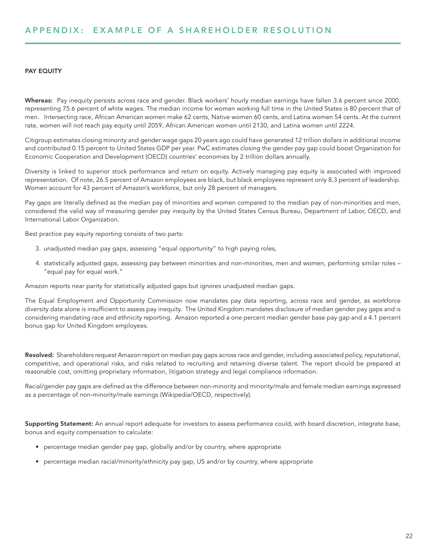### PAY EQUITY

Whereas: Pay inequity persists across race and gender. Black workers' hourly median earnings have fallen 3.6 percent since 2000, representing 75.6 percent of white wages. The median income for women working full time in the United States is 80 percent that of men. Intersecting race, African American women make 62 cents, Native women 60 cents, and Latina women 54 cents. At the current rate, women will not reach pay equity until 2059, African American women until 2130, and Latina women until 2224.

Citigroup estimates closing minority and gender wage gaps 20 years ago could have generated 12 trillion dollars in additional income and contributed 0.15 percent to United States GDP per year. PwC estimates closing the gender pay gap could boost Organization for Economic Cooperation and Development (OECD) countries' economies by 2 trillion dollars annually.

Diversity is linked to superior stock performance and return on equity. Actively managing pay equity is associated with improved representation. Of note, 26.5 percent of Amazon employees are black, but black employees represent only 8.3 percent of leadership. Women account for 43 percent of Amazon's workforce, but only 28 percent of managers.

Pay gaps are literally defined as the median pay of minorities and women compared to the median pay of non-minorities and men, considered the valid way of measuring gender pay inequity by the United States Census Bureau, Department of Labor, OECD, and International Labor Organization.

Best practice pay equity reporting consists of two parts:

- 3. unadjusted median pay gaps, assessing "equal opportunity" to high paying roles,
- 4. statistically adjusted gaps, assessing pay between minorities and non-minorities, men and women, performing similar roles "equal pay for equal work."

Amazon reports near parity for statistically adjusted gaps but ignores unadjusted median gaps.

The Equal Employment and Opportunity Commission now mandates pay data reporting, across race and gender, as workforce diversity data alone is insufficient to assess pay inequity. The United Kingdom mandates disclosure of median gender pay gaps and is considering mandating race and ethnicity reporting. Amazon reported a one percent median gender base pay gap and a 4.1 percent bonus gap for United Kingdom employees.

Resolved: Shareholders request Amazon report on median pay gaps across race and gender, including associated policy, reputational, competitive, and operational risks, and risks related to recruiting and retaining diverse talent. The report should be prepared at reasonable cost, omitting proprietary information, litigation strategy and legal compliance information.

Racial/gender pay gaps are defined as the difference between non-minority and minority/male and female median earnings expressed as a percentage of non-minority/male earnings (Wikipedia/OECD, respectively).

Supporting Statement: An annual report adequate for investors to assess performance could, with board discretion, integrate base, bonus and equity compensation to calculate:

- percentage median gender pay gap, globally and/or by country, where appropriate
- percentage median racial/minority/ethnicity pay gap, US and/or by country, where appropriate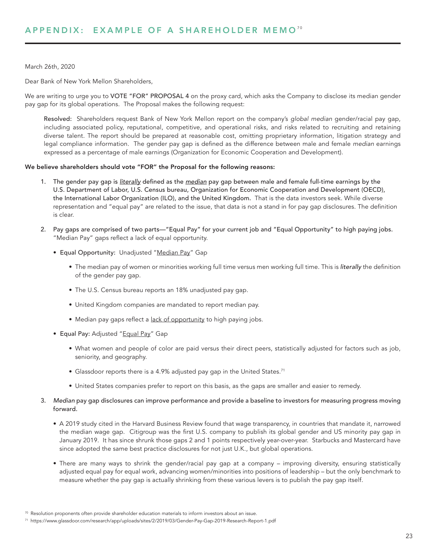### March 26th, 2020

Dear Bank of New York Mellon Shareholders,

We are writing to urge you to VOTE "FOR" PROPOSAL 4 on the proxy card, which asks the Company to disclose its median gender pay gap for its global operations. The Proposal makes the following request:

Resolved: Shareholders request Bank of New York Mellon report on the company's *global median* gender/racial pay gap, including associated policy, reputational, competitive, and operational risks, and risks related to recruiting and retaining diverse talent. The report should be prepared at reasonable cost, omitting proprietary information, litigation strategy and legal compliance information. The gender pay gap is defined as the difference between male and female *median* earnings expressed as a percentage of male earnings (Organization for Economic Cooperation and Development).

### We believe shareholders should vote "FOR" the Proposal for the following reasons:

- 1. The gender pay gap is *literally* defined as the *median* pay gap between male and female full-time earnings by the U.S. Department of Labor, U.S. Census bureau, Organization for Economic Cooperation and Development (OECD), the International Labor Organization (ILO), and the United Kingdom. That is the data investors seek. While diverse representation and "equal pay" are related to the issue, that data is not a stand in for pay gap disclosures. The definition is clear.
- 2. Pay gaps are comprised of two parts—"Equal Pay" for your current job and "Equal Opportunity" to high paying jobs. "Median Pay" gaps reflect a lack of equal opportunity.
	- Equal Opportunity: Unadjusted "Median Pay" Gap
		- The median pay of women or minorities working full time versus men working full time. This is *literally* the definition of the gender pay gap.
		- The U.S. Census bureau reports an 18% unadjusted pay gap.
		- United Kingdom companies are mandated to report median pay.
		- Median pay gaps reflect a lack of opportunity to high paying jobs.
	- Equal Pay: Adjusted "Equal Pay" Gap
		- What women and people of color are paid versus their direct peers, statistically adjusted for factors such as job, seniority, and geography.
		- Glassdoor reports there is a 4.9% adjusted pay gap in the United States.<sup>71</sup>
		- United States companies prefer to report on this basis, as the gaps are smaller and easier to remedy.
- 3. *Median* pay gap disclosures can improve performance and provide a baseline to investors for measuring progress moving forward.
	- A 2019 study cited in the Harvard Business Review found that wage transparency, in countries that mandate it, narrowed the median wage gap. Citigroup was the first U.S. company to publish its global gender and US minority pay gap in January 2019. It has since shrunk those gaps 2 and 1 points respectively year-over-year. Starbucks and Mastercard have since adopted the same best practice disclosures for not just U.K., but global operations.
	- There are many ways to shrink the gender/racial pay gap at a company improving diversity, ensuring statistically adjusted equal pay for equal work, advancing women/minorities into positions of leadership – but the only benchmark to measure whether the pay gap is actually shrinking from these various levers is to publish the pay gap itself.

 $70$  Resolution proponents often provide shareholder education materials to inform investors about an issue.

<sup>71</sup> https://www.glassdoor.com/research/app/uploads/sites/2/2019/03/Gender-Pay-Gap-2019-Research-Report-1.pdf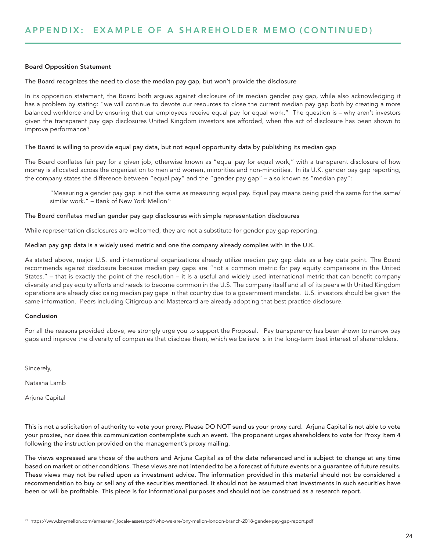### Board Opposition Statement

### The Board recognizes the need to close the median pay gap, but won't provide the disclosure

In its opposition statement, the Board both argues against disclosure of its median gender pay gap, while also acknowledging it has a problem by stating: "we will continue to devote our resources to close the current median pay gap both by creating a more balanced workforce and by ensuring that our employees receive equal pay for equal work." The question is – why aren't investors given the transparent pay gap disclosures United Kingdom investors are afforded, when the act of disclosure has been shown to improve performance?

### The Board is willing to provide equal pay data, but not equal opportunity data by publishing its median gap

The Board conflates fair pay for a given job, otherwise known as "equal pay for equal work," with a transparent disclosure of how money is allocated across the organization to men and women, minorities and non-minorities. In its U.K. gender pay gap reporting, the company states the difference between "equal pay" and the "gender pay gap" – also known as "median pay":

"Measuring a gender pay gap is not the same as measuring equal pay. Equal pay means being paid the same for the same/ similar work." – Bank of New York Mellon<sup>72</sup>

### The Board conflates median gender pay gap disclosures with simple representation disclosures

While representation disclosures are welcomed, they are not a substitute for gender pay gap reporting.

### Median pay gap data is a widely used metric and one the company already complies with in the U.K.

As stated above, major U.S. and international organizations already utilize median pay gap data as a key data point. The Board recommends against disclosure because median pay gaps are "not a common metric for pay equity comparisons in the United States." – that is exactly the point of the resolution – it is a useful and widely used international metric that can benefit company diversity and pay equity efforts and needs to become common in the U.S. The company itself and all of its peers with United Kingdom operations are already disclosing median pay gaps in that country due to a government mandate. U.S. investors should be given the same information. Peers including Citigroup and Mastercard are already adopting that best practice disclosure.

### Conclusion

For all the reasons provided above, we strongly urge you to support the Proposal. Pay transparency has been shown to narrow pay gaps and improve the diversity of companies that disclose them, which we believe is in the long-term best interest of shareholders.

Sincerely,

Natasha Lamb

Arjuna Capital

This is not a solicitation of authority to vote your proxy. Please DO NOT send us your proxy card. Arjuna Capital is not able to vote your proxies, nor does this communication contemplate such an event. The proponent urges shareholders to vote for Proxy Item 4 following the instruction provided on the management's proxy mailing.

The views expressed are those of the authors and Arjuna Capital as of the date referenced and is subject to change at any time based on market or other conditions. These views are not intended to be a forecast of future events or a guarantee of future results. These views may not be relied upon as investment advice. The information provided in this material should not be considered a recommendation to buy or sell any of the securities mentioned. It should not be assumed that investments in such securities have been or will be profitable. This piece is for informational purposes and should not be construed as a research report.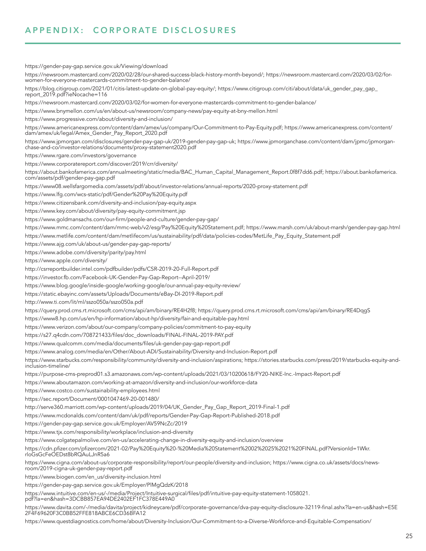https://gender-pay-gap.service.gov.uk/Viewing/download https://newsroom.mastercard.com/2020/02/28/our-shared-success-black-history-month-beyond/; https://newsroom.mastercard.com/2020/03/02/forwomen-for-everyone-mastercards-commitment-to-gender-balance/ https://blog.citigroup.com/2021/01/citis-latest-update-on-global-pay-equity/; https://www.citigroup.com/citi/about/data/uk\_gender\_pay\_gap\_ report\_2019.pdf?ieNocache=116 https://newsroom.mastercard.com/2020/03/02/for-women-for-everyone-mastercards-commitment-to-gender-balance/ https://www.bnymellon.com/us/en/about-us/newsroom/company-news/pay-equity-at-bny-mellon.html https://www.progressive.com/about/diversity-and-inclusion/ https://www.americanexpress.com/content/dam/amex/us/company/Our-Commitment-to-Pay-Equity.pdf; https://www.americanexpress.com/content/ dam/amex/uk/legal/Amex\_Gender\_Pay\_Report\_2020.pdf https://www.jpmorgan.com/disclosures/gender-pay-gap-uk/2019-gender-pay-gap-uk; https://www.jpmorganchase.com/content/dam/jpmc/jpmorganchase-and-co/investor-relations/documents/proxy-statement2020.pdf https://www.rgare.com/investors/governance https://www.corporatereport.com/discover/2019/crr/diversity/

https://about.bankofamerica.com/annualmeeting/static/media/BAC\_Human\_Capital\_Management\_Report.0f8f7dd6.pdf; https://about.bankofamerica. com/assets/pdf/gender-pay-gap.pdf

https://www08.wellsfargomedia.com/assets/pdf/about/investor-relations/annual-reports/2020-proxy-statement.pdf

https://www.lfg.com/wcs-static/pdf/Gender%20Pay%20Equity.pdf

https://www.citizensbank.com/diversity-and-inclusion/pay-equity.aspx

https://www.key.com/about/diversity/pay-equity-commitment.jsp

https://www.goldmansachs.com/our-firm/people-and-culture/gender-pay-gap/

https://www.mmc.com/content/dam/mmc-web/v2/esg/Pay%20Equity%20Statement.pdf; https://www.marsh.com/uk/about-marsh/gender-pay-gap.html

https://www.metlife.com/content/dam/metlifecom/us/sustainability/pdf/data/policies-codes/MetLife\_Pay\_Equity\_Statement.pdf

https://www.ajg.com/uk/about-us/gender-pay-gap-reports/

https://www.adobe.com/diversity/parity/pay.html

https://www.apple.com/diversity/

http://csrreportbuilder.intel.com/pdfbuilder/pdfs/CSR-2019-20-Full-Report.pdf

https://investor.fb.com/Facebook-UK-Gender-Pay-Gap-Report--April-2019/

https://www.blog.google/inside-google/working-google/our-annual-pay-equity-review/

https://static.ebayinc.com/assets/Uploads/Documents/eBay-DI-2019-Report.pdf

http://www.ti.com/lit/ml/sszo050a/sszo050a.pdf

https://query.prod.cms.rt.microsoft.com/cms/api/am/binary/RE4H2f8; https://query.prod.cms.rt.microsoft.com/cms/api/am/binary/RE4DqgS

https://www8.hp.com/us/en/hp-information/about-hp/diversity/fair-and-equitable-pay.html

https://www.verizon.com/about/our-company/company-policies/commitment-to-pay-equity

https://s27.q4cdn.com/708721433/files/doc\_downloads/FINAL-FINAL-2019-PAY.pdf

https://www.qualcomm.com/media/documents/files/uk-gender-pay-gap-report.pdf

https://www.analog.com/media/en/Other/About-ADI/Sustainability/Diversity-and-Inclusion-Report.pdf

https://www.starbucks.com/responsibility/community/diversity-and-inclusion/aspirations; https://stories.starbucks.com/press/2019/starbucks-equity-andinclusion-timeline/

https://purpose-cms-preprod01.s3.amazonaws.com/wp-content/uploads/2021/03/10200618/FY20-NIKE-Inc.-Impact-Report.pdf

https://www.aboutamazon.com/working-at-amazon/diversity-and-inclusion/our-workforce-data

https://www.costco.com/sustainability-employees.html

https://sec.report/Document/0001047469-20-001480/

http://serve360.marriott.com/wp-content/uploads/2019/04/UK\_Gender\_Pay\_Gap\_Report\_2019-Final-1.pdf

https://www.mcdonalds.com/content/dam/uk/pdf/reports/Gender-Pay-Gap-Report-Published-2018.pdf

https://gender-pay-gap.service.gov.uk/Employer/AV59NcZc/2019

https://www.tjx.com/responsibility/workplace/inclusion-and-diversity

https://www.colgatepalmolive.com/en-us/accelerating-change-in-diversity-equity-and-inclusion/overview

https://cdn.pfizer.com/pfizercom/2021-02/Pay%20Equity%20-%20Media%20Statement%2002%2025%2021%20FINAL.pdf?VersionId=1Wkr. rloGsGcFeOEDst8bRQAuLJnR5a6

https://www.cigna.com/about-us/corporate-responsibility/report/our-people/diversity-and-inclusion; https://www.cigna.co.uk/assets/docs/newsroom/2019-cigna-uk-gender-pay-report.pdf

https://www.biogen.com/en\_us/diversity-inclusion.html

https://gender-pay-gap.service.gov.uk/Employer/PlMgQdzK/2018

https://www.intuitive.com/en-us/-/media/Project/Intuitive-surgical/files/pdf/intuitive-pay-equity-statement-1058021. pdf?la=en&hash=3DCBB857EA94DE2402EF1FC378E449A0

https://www.davita.com/-/media/davita/project/kidneycare/pdf/corporate-governance/dva-pay-equity-disclosure-32119-final.ashx?la=en-us&hash=E5E 2F4F69620F3C0BB52FFE818ABCE6CD36BFA12

https://www.questdiagnostics.com/home/about/Diversity-Inclusion/Our-Commitment-to-a-Diverse-Workforce-and-Equitable-Compensation/